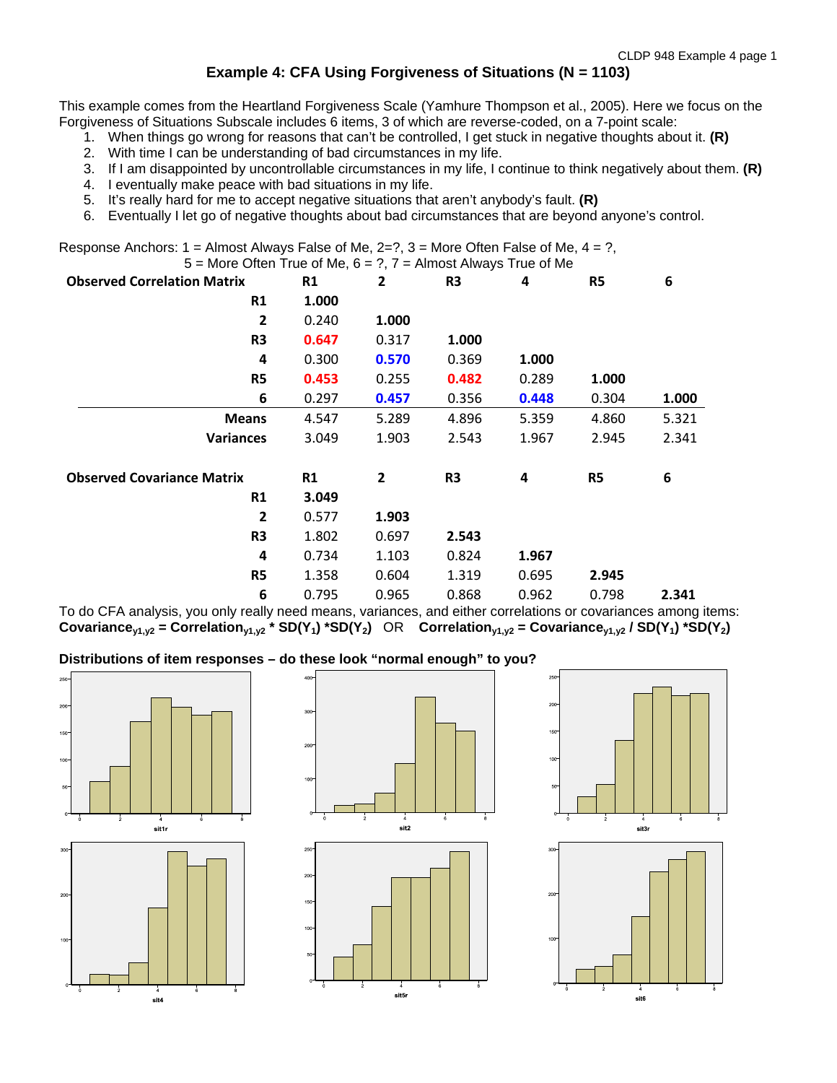CLDP 948 Example 4 page 1

# **Example 4: CFA Using Forgiveness of Situations (N = 1103)**

This example comes from the Heartland Forgiveness Scale (Yamhure Thompson et al., 2005). Here we focus on the Forgiveness of Situations Subscale includes 6 items, 3 of which are reverse-coded, on a 7-point scale:

- 1. When things go wrong for reasons that can't be controlled, I get stuck in negative thoughts about it. **(R)**
- 2. With time I can be understanding of bad circumstances in my life.
- 3. If I am disappointed by uncontrollable circumstances in my life, I continue to think negatively about them. **(R)**
- 4. I eventually make peace with bad situations in my life.
- 5. It's really hard for me to accept negative situations that aren't anybody's fault. **(R)**
- 6. Eventually I let go of negative thoughts about bad circumstances that are beyond anyone's control.

Response Anchors:  $1 =$  Almost Always False of Me,  $2=$ ?,  $3 =$  More Often False of Me,  $4 = ?$ ,  $5 -$  More Often True of Me,  $6 - 2$ ,  $7 -$  Almost Always True of Me

| <b>Observed Correlation Matrix</b> | <b>R1</b> | $\mathbf{2}$   | R3             | 4     | R <sub>5</sub> | 6     |
|------------------------------------|-----------|----------------|----------------|-------|----------------|-------|
| R1                                 | 1.000     |                |                |       |                |       |
| 2                                  | 0.240     | 1.000          |                |       |                |       |
| R <sub>3</sub>                     | 0.647     | 0.317          | 1.000          |       |                |       |
| 4                                  | 0.300     | 0.570          | 0.369          | 1.000 |                |       |
| R <sub>5</sub>                     | 0.453     | 0.255          | 0.482          | 0.289 | 1.000          |       |
| 6                                  | 0.297     | 0.457          | 0.356          | 0.448 | 0.304          | 1.000 |
| <b>Means</b>                       | 4.547     | 5.289          | 4.896          | 5.359 | 4.860          | 5.321 |
| <b>Variances</b>                   | 3.049     | 1.903          | 2.543          | 1.967 | 2.945          | 2.341 |
| <b>Observed Covariance Matrix</b>  | R1        | $\overline{2}$ | R <sub>3</sub> | 4     | R <sub>5</sub> | 6     |
| R1                                 | 3.049     |                |                |       |                |       |
| 2                                  | 0.577     | 1.903          |                |       |                |       |
| R <sub>3</sub>                     | 1.802     | 0.697          | 2.543          |       |                |       |
| 4                                  | 0.734     | 1.103          | 0.824          | 1.967 |                |       |
| R <sub>5</sub>                     | 1.358     | 0.604          | 1.319          | 0.695 | 2.945          |       |
| 6                                  | 0.795     | 0.965          | 0.868          | 0.962 | 0.798          | 2.341 |

To do CFA analysis, you only really need means, variances, and either correlations or covariances among items: **Covariance**<sub>V1,V2</sub> = Correlation<sub>V1,V2</sub> \* SD(Y<sub>1</sub>) \*SD(Y<sub>2</sub>) OR Correlation<sub>V1,V2</sub> = Covariance<sub>V1,V2</sub> / SD(Y<sub>1</sub>) \*SD(Y<sub>2</sub>)

# **Distributions of item responses – do these look "normal enough" to you?**





sit5r





eit6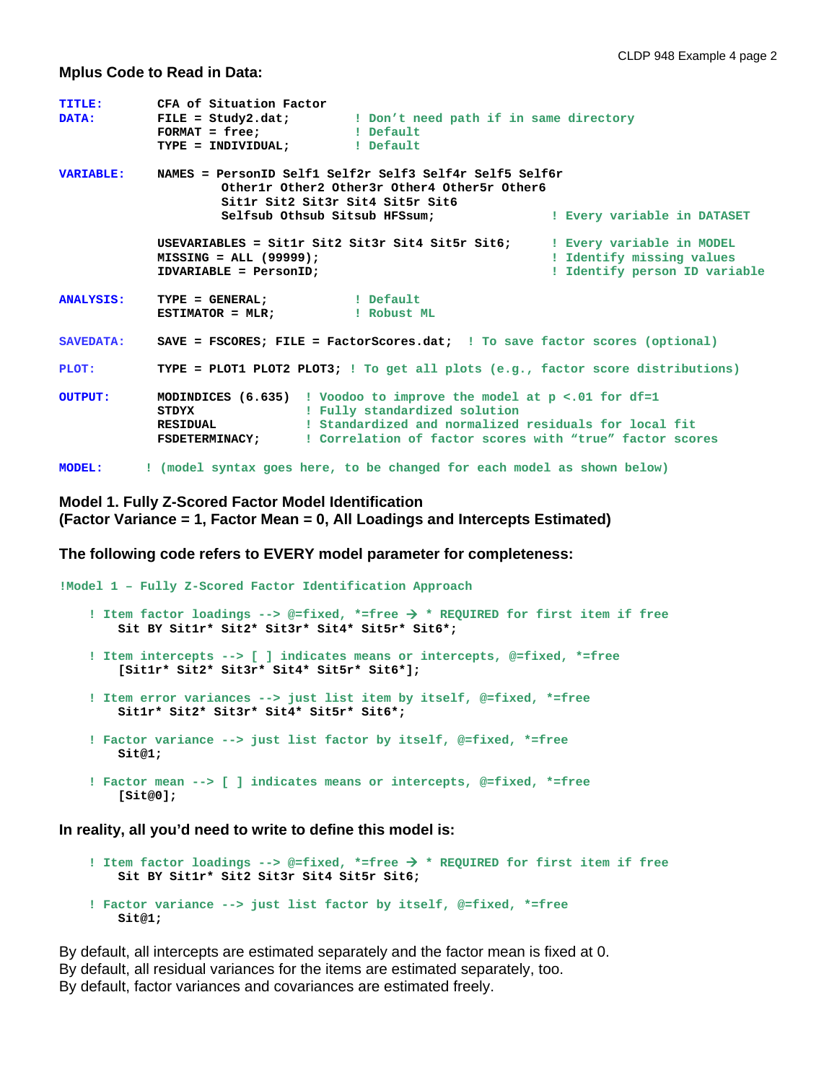#### **Mplus Code to Read in Data:**

| <b>TITLE:</b><br><b>DATA:</b> | CFA of Situation Factor<br>FILE = Study2.dat; I Don't need path if in same directory                                                                                                                                                                                                            |                                                                                         |
|-------------------------------|-------------------------------------------------------------------------------------------------------------------------------------------------------------------------------------------------------------------------------------------------------------------------------------------------|-----------------------------------------------------------------------------------------|
| <b>VARIABLE:</b>              | NAMES = PersonID Self1 Self2r Self3 Self4r Self5 Self6r<br>Otherlr Other2 Other3r Other4 Other5r Other6<br>Sitlr Sit2 Sit3r Sit4 Sit5r Sit6<br>Selfsub Othsub Sitsub HFSsum;                                                                                                                    | ! Every variable in DATASET                                                             |
|                               | USEVARIABLES = Sit1r Sit2 Sit3r Sit4 Sit5r Sit6:<br>$MISSING = ALL (99999);$<br>IDVARIABLE = PersonID;                                                                                                                                                                                          | ! Every variable in MODEL<br>! Identify missing values<br>! Identify person ID variable |
| <b>ANALYSIS:</b>              | TYPE = GENERAL; l Default                                                                                                                                                                                                                                                                       |                                                                                         |
| <b>SAVEDATA:</b>              | SAVE = FSCORES; FILE = FactorScores.dat; ! To save factor scores (optional)                                                                                                                                                                                                                     |                                                                                         |
| PLOT:                         | TYPE = PLOT1 PLOT2 PLOT3; ! To get all plots (e.g., factor score distributions)                                                                                                                                                                                                                 |                                                                                         |
| <b>OUTPUT:</b>                | <b>MODINDICES</b> (6.635) ! Voodoo to improve the model at $p \lt 0.01$ for df=1<br>! Fully standardized solution<br><b>STDYX</b><br>! Standardized and normalized residuals for local fit<br><b>RESIDUAL</b><br><b>FSDETERMINACY;</b> : Correlation of factor scores with "true" factor scores |                                                                                         |
| <b>MODEL:</b>                 | ! (model syntax goes here, to be changed for each model as shown below)                                                                                                                                                                                                                         |                                                                                         |

## **Model 1. Fully Z-Scored Factor Model Identification (Factor Variance = 1, Factor Mean = 0, All Loadings and Intercepts Estimated)**

**The following code refers to EVERY model parameter for completeness:**

```
!Model 1 – Fully Z-Scored Factor Identification Approach
     ! Item factor loadings --> @=fixed, *=free  * REQUIRED for first item if free
        Sit BY Sit1r* Sit2* Sit3r* Sit4* Sit5r* Sit6*;
     ! Item intercepts --> [ ] indicates means or intercepts, @=fixed, *=free
        [Sit1r* Sit2* Sit3r* Sit4* Sit5r* Sit6*];
     ! Item error variances --> just list item by itself, @=fixed, *=free
        Sit1r* Sit2* Sit3r* Sit4* Sit5r* Sit6*;
     ! Factor variance --> just list factor by itself, @=fixed, *=free
        Sit@1;
     ! Factor mean --> [ ] indicates means or intercepts, @=fixed, *=free
        [Sit@0];
```
**In reality, all you'd need to write to define this model is:**

```
 ! Item factor loadings --> @=fixed, *=free  * REQUIRED for first item if free
    Sit BY Sit1r* Sit2 Sit3r Sit4 Sit5r Sit6;
 ! Factor variance --> just list factor by itself, @=fixed, *=free
    Sit@1;
```
By default, all intercepts are estimated separately and the factor mean is fixed at 0. By default, all residual variances for the items are estimated separately, too. By default, factor variances and covariances are estimated freely.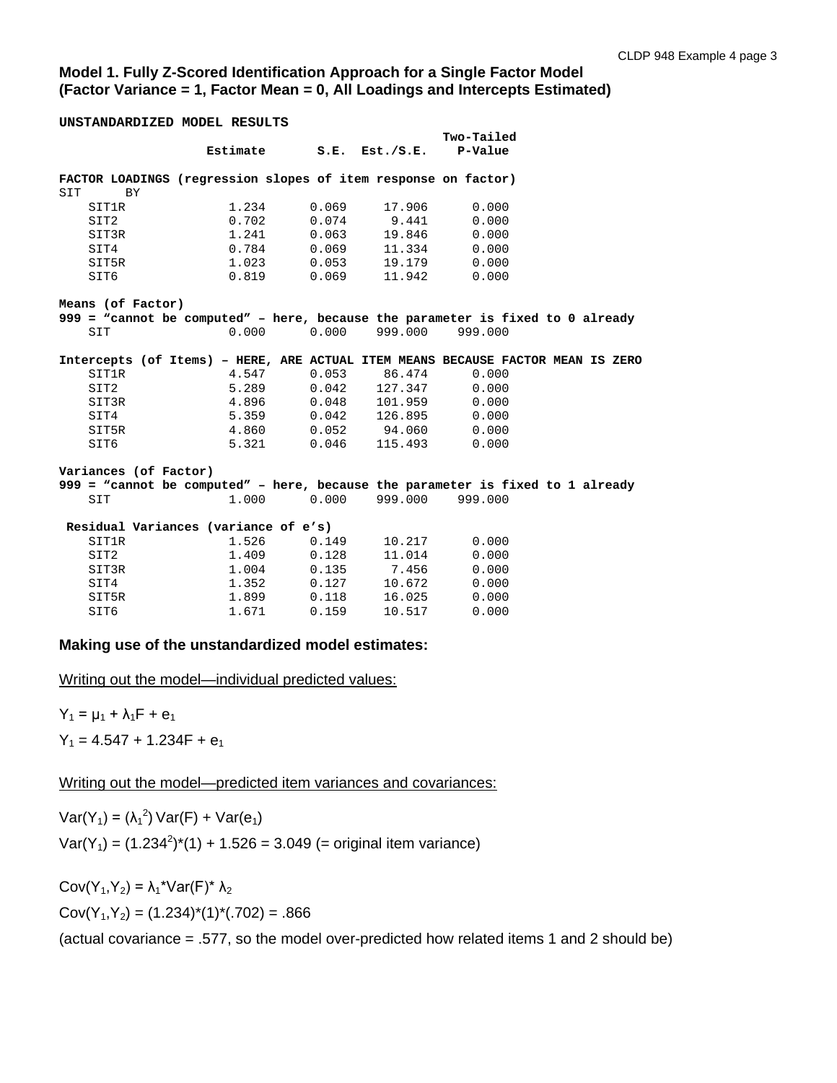## **Model 1. Fully Z-Scored Identification Approach for a Single Factor Model (Factor Variance = 1, Factor Mean = 0, All Loadings and Intercepts Estimated)**

**UNSTANDARDIZED MODEL RESULTS**

|                                                                                 |                                      |                        |                 | Two-Tailed |  |
|---------------------------------------------------------------------------------|--------------------------------------|------------------------|-----------------|------------|--|
|                                                                                 | Estimate S.E. Est./S.E.              |                        |                 | P-Value    |  |
| FACTOR LOADINGS (regression slopes of item response on factor)                  |                                      |                        |                 |            |  |
| SIT<br><b>BY</b>                                                                |                                      |                        |                 |            |  |
| SIT1R                                                                           | 1.234                                | 0.069                  | 17.906          | 0.000      |  |
| SIT2                                                                            | 0.702                                | 0.074                  | 9.441           | 0.000      |  |
| SIT3R                                                                           | 1.241                                | 0.063                  | 19.846          | 0.000      |  |
| SIT4                                                                            |                                      | $0.784$ 0.069          | 11.334          | 0.000      |  |
| SIT5R                                                                           |                                      | $1.023$ 0.053          | 19.179          | 0.000      |  |
| SIT6                                                                            |                                      | $0.819$ $0.069$        | 11.942          | 0.000      |  |
| Means (of Factor)                                                               |                                      |                        |                 |            |  |
| 999 = "cannot be computed" - here, because the parameter is fixed to 0 already  |                                      |                        |                 |            |  |
| SIT                                                                             | 0.000                                | 0.00000999.0000999.000 |                 |            |  |
|                                                                                 |                                      |                        |                 |            |  |
| Intercepts (of Items) - HERE, ARE ACTUAL ITEM MEANS BECAUSE FACTOR MEAN IS ZERO |                                      |                        |                 |            |  |
| SIT1R                                                                           | 4.547                                |                        | 0.053 86.474    | 0.000      |  |
| SIT2                                                                            |                                      | 5.289 0.042 127.347    |                 | 0.000      |  |
| SIT3R                                                                           |                                      | 4.896 0.048 101.959    |                 | 0.000      |  |
| SIT4                                                                            | 5.359                                |                        | $0.042$ 126.895 | 0.000      |  |
| SIT5R                                                                           | 4.860                                | $0.052$ 94.060         |                 | 0.000      |  |
| SIT6                                                                            | 5.321                                | $0.046$ 115.493        |                 | 0.000      |  |
| Variances (of Factor)                                                           |                                      |                        |                 |            |  |
| 999 = "cannot be computed" - here, because the parameter is fixed to 1 already  |                                      |                        |                 |            |  |
| SIT                                                                             | 1.000                                | 0.000                  | 999.000         | 999.000    |  |
|                                                                                 |                                      |                        |                 |            |  |
|                                                                                 | Residual Variances (variance of e's) |                        |                 |            |  |
| SIT1R                                                                           | 1.526                                | 0.149                  | 10.217          | 0.000      |  |
| SIT2                                                                            | 1.409                                | 0.128                  | 11.014          | 0.000      |  |
| SIT3R                                                                           |                                      | $1.004$ 0.135          | 7.456           | 0.000      |  |
| SIT4                                                                            |                                      | 1.352 0.127            | 10.672          | 0.000      |  |
| SIT5R                                                                           |                                      | 1.899 0.118            | 16.025          | 0.000      |  |
| SIT6                                                                            | 1.671                                | 0.159                  | 10.517          | 0.000      |  |

#### **Making use of the unstandardized model estimates:**

Writing out the model—individual predicted values:

 $Y_1 = \mu_1 + \lambda_1 F + e_1$  $Y_1 = 4.547 + 1.234F + e_1$ 

Writing out the model—predicted item variances and covariances:

 $Var(Y_1) = (\lambda_1^2) Var(F) + Var(e_1)$  $Var(Y_1) = (1.234^2)^*(1) + 1.526 = 3.049$  (= original item variance)

Cov(Y<sub>1</sub>,Y<sub>2</sub>) =  $\lambda_1$ <sup>\*</sup>Var(F)<sup>\*</sup>  $\lambda_2$  $Cov(Y_1, Y_2) = (1.234)^*(1)^*(0.702) = 0.866$ 

(actual covariance = .577, so the model over-predicted how related items 1 and 2 should be)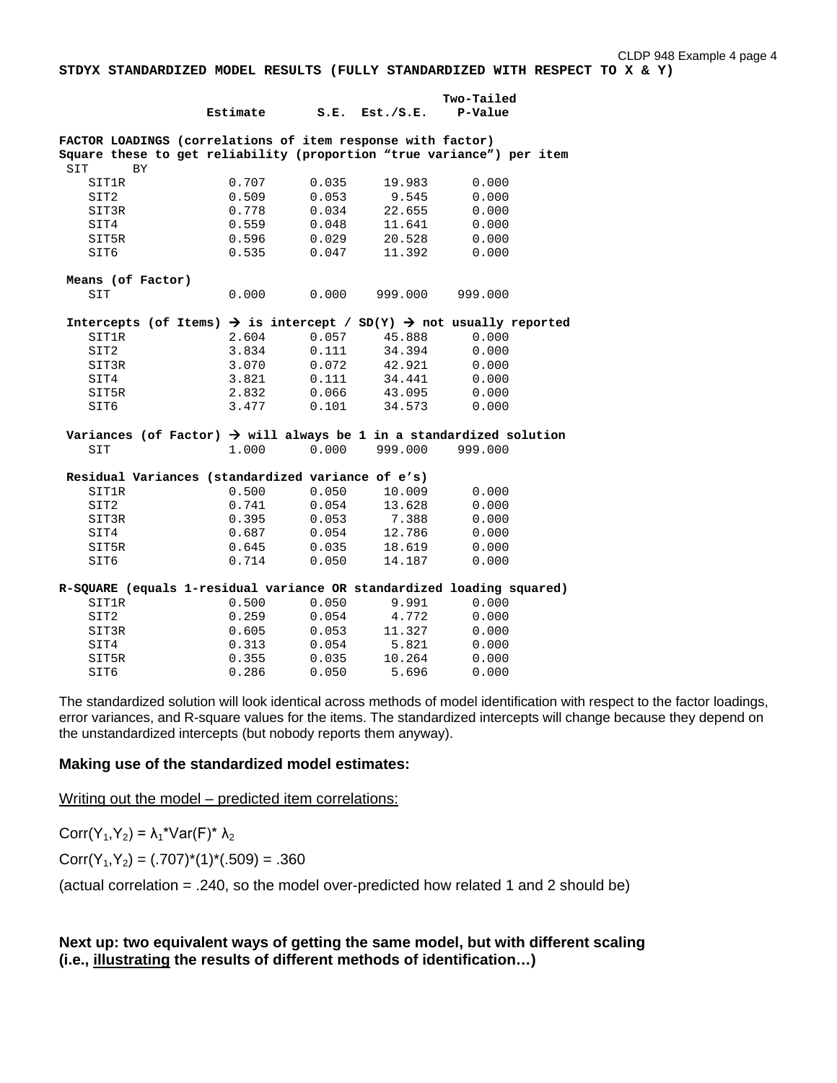**STDYX STANDARDIZED MODEL RESULTS (FULLY STANDARDIZED WITH RESPECT TO X & Y)**

|                  |                   |                                                                                             |       |                     | Two-Tailed |  |
|------------------|-------------------|---------------------------------------------------------------------------------------------|-------|---------------------|------------|--|
|                  |                   | Estimate                                                                                    |       | $S.E.$ Est./ $S.E.$ | P-Value    |  |
|                  |                   | FACTOR LOADINGS (correlations of item response with factor)                                 |       |                     |            |  |
|                  |                   | Square these to get reliability (proportion "true variance") per item                       |       |                     |            |  |
| SIT              | <b>BY</b>         |                                                                                             |       |                     |            |  |
|                  | SIT1R             | 0.707                                                                                       | 0.035 | 19.983              | 0.000      |  |
| SIT2             |                   | 0.509                                                                                       | 0.053 | 9.545               | 0.000      |  |
|                  | SIT3R             | 0.778                                                                                       | 0.034 | 22.655              | 0.000      |  |
| SIT4             |                   | 0.559                                                                                       | 0.048 | 11.641              | 0.000      |  |
|                  | SIT5R             | 0.596                                                                                       | 0.029 | 20.528              | 0.000      |  |
| SIT6             |                   | 0.535                                                                                       | 0.047 | 11.392              | 0.000      |  |
|                  | Means (of Factor) |                                                                                             |       |                     |            |  |
| SIT              |                   | 0.000                                                                                       | 0.000 | 999.000             | 999.000    |  |
|                  |                   | Intercepts (of Items) $\rightarrow$ is intercept / SD(Y) $\rightarrow$ not usually reported |       |                     |            |  |
|                  | SIT1R             | 2.604                                                                                       | 0.057 | 45.888              | 0.000      |  |
| SIT <sub>2</sub> |                   | 3.834                                                                                       | 0.111 | 34.394              | 0.000      |  |
|                  | SIT3R             | 3.070                                                                                       | 0.072 | 42.921              | 0.000      |  |
| SIT4             |                   | 3.821                                                                                       | 0.111 | 34.441              | 0.000      |  |
|                  | SIT5R             | 2.832                                                                                       | 0.066 | 43.095              | 0.000      |  |
| SIT6             |                   | 3.477                                                                                       | 0.101 | 34.573              | 0.000      |  |
|                  |                   | Variances (of Factor) $\rightarrow$ will always be 1 in a standardized solution             |       |                     |            |  |
| SIT              |                   | 1.000                                                                                       | 0.000 | 999.000             | 999.000    |  |
|                  |                   | Residual Variances (standardized variance of e's)                                           |       |                     |            |  |
|                  | <b>SIT1R</b>      | 0.500                                                                                       | 0.050 | 10.009              | 0.000      |  |
| SIT <sub>2</sub> |                   | 0.741                                                                                       | 0.054 | 13.628              | 0.000      |  |
|                  | SIT3R             | 0.395                                                                                       | 0.053 | 7.388               | 0.000      |  |
| SIT4             |                   | 0.687                                                                                       | 0.054 | 12.786              | 0.000      |  |
|                  | SIT5R             | 0.645                                                                                       | 0.035 | 18.619              | 0.000      |  |
| SIT6             |                   | 0.714                                                                                       | 0.050 | 14.187              | 0.000      |  |
|                  |                   | R-SQUARE (equals 1-residual variance OR standardized loading squared)                       |       |                     |            |  |
|                  | SIT1R             | 0.500                                                                                       | 0.050 | 9.991               | 0.000      |  |
| SIT <sub>2</sub> |                   | 0.259                                                                                       | 0.054 | 4.772               | 0.000      |  |
|                  | SIT3R             | 0.605                                                                                       | 0.053 | 11.327              | 0.000      |  |
| SIT4             |                   | 0.313                                                                                       | 0.054 | 5.821               | 0.000      |  |
|                  | SIT5R             | 0.355                                                                                       | 0.035 | 10.264              | 0.000      |  |
| SIT6             |                   | 0.286                                                                                       | 0.050 | 5.696               | 0.000      |  |

The standardized solution will look identical across methods of model identification with respect to the factor loadings, error variances, and R-square values for the items. The standardized intercepts will change because they depend on the unstandardized intercepts (but nobody reports them anyway).

### **Making use of the standardized model estimates:**

Writing out the model – predicted item correlations:

Corr(Y<sub>1</sub>,Y<sub>2</sub>) =  $\lambda_1$ <sup>\*</sup>Var(F)<sup>\*</sup>  $\lambda_2$ 

 $Corr(Y_1, Y_2) = (.707)^*(1)^*(.509) = .360$ 

(actual correlation = .240, so the model over-predicted how related 1 and 2 should be)

## **Next up: two equivalent ways of getting the same model, but with different scaling (i.e., illustrating the results of different methods of identification…)**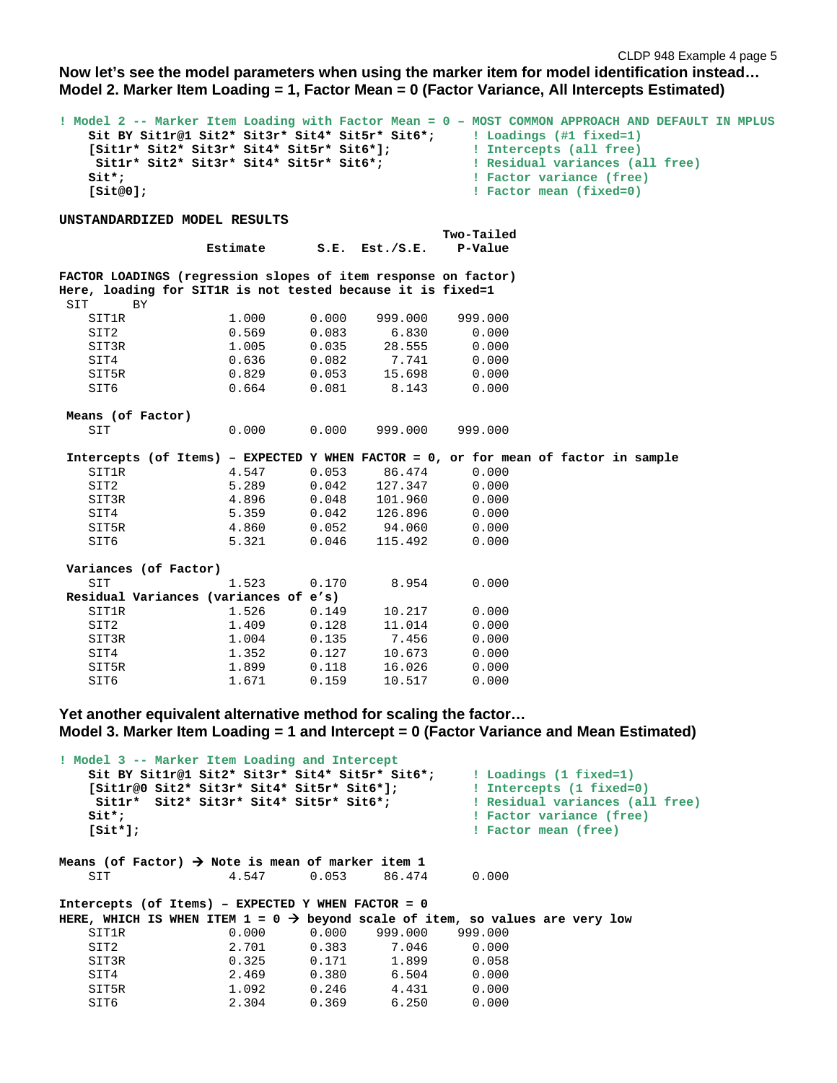CLDP 948 Example 4 page 5

**Now let's see the model parameters when using the marker item for model identification instead… Model 2. Marker Item Loading = 1, Factor Mean = 0 (Factor Variance, All Intercepts Estimated)**

| $\texttt{Sitt*}$ ;<br>[Sit@0];                                                                                     | [Sitlr* Sit2* Sit3r* Sit4* Sit5r* Sit6*];<br>Sitlr* Sit2* Sit3r* Sit4* Sit5r* Sit6*; |       |           | ! Model 2 -- Marker Item Loading with Factor Mean = 0 - MOST COMMON APPROACH AND DEFAULT IN MPLUS<br>Sit BY Sitlr@1 Sit2* Sit3r* Sit4* Sit5r* Sit6*; I Loadings (#1 fixed=1)<br>! Intercepts (all free)<br>! Residual variances (all free)<br>! Factor variance (free)<br>! Factor mean (fixed=0) |  |
|--------------------------------------------------------------------------------------------------------------------|--------------------------------------------------------------------------------------|-------|-----------|---------------------------------------------------------------------------------------------------------------------------------------------------------------------------------------------------------------------------------------------------------------------------------------------------|--|
| UNSTANDARDIZED MODEL RESULTS                                                                                       |                                                                                      |       |           |                                                                                                                                                                                                                                                                                                   |  |
|                                                                                                                    | Estimate                                                                             | S.E.  | Est./S.E. | Two-Tailed<br>P-Value                                                                                                                                                                                                                                                                             |  |
| FACTOR LOADINGS (regression slopes of item response on factor)                                                     |                                                                                      |       |           |                                                                                                                                                                                                                                                                                                   |  |
| Here, loading for SIT1R is not tested because it is fixed=1                                                        |                                                                                      |       |           |                                                                                                                                                                                                                                                                                                   |  |
| SIT<br><b>BY</b>                                                                                                   |                                                                                      |       |           |                                                                                                                                                                                                                                                                                                   |  |
| <b>SIT1R</b>                                                                                                       | 1.000                                                                                | 0.000 | 999.000   | 999.000                                                                                                                                                                                                                                                                                           |  |
| SIT2                                                                                                               | 0.569                                                                                | 0.083 | 6.830     | 0.000                                                                                                                                                                                                                                                                                             |  |
| SIT3R                                                                                                              | 1.005                                                                                | 0.035 | 28.555    | 0.000                                                                                                                                                                                                                                                                                             |  |
| SIT4                                                                                                               | 0.636                                                                                | 0.082 | 7.741     | 0.000                                                                                                                                                                                                                                                                                             |  |
| SIT5R                                                                                                              | 0.829                                                                                | 0.053 | 15.698    | 0.000                                                                                                                                                                                                                                                                                             |  |
| SIT6                                                                                                               | 0.664                                                                                | 0.081 | 8.143     | 0.000                                                                                                                                                                                                                                                                                             |  |
| Means (of Factor)                                                                                                  |                                                                                      |       |           |                                                                                                                                                                                                                                                                                                   |  |
| SIT                                                                                                                | 0.000                                                                                | 0.000 | 999.000   | 999.000                                                                                                                                                                                                                                                                                           |  |
|                                                                                                                    |                                                                                      |       |           | Intercepts (of Items) - EXPECTED Y WHEN FACTOR = 0, or for mean of factor in sample                                                                                                                                                                                                               |  |
| <b>SIT1R</b>                                                                                                       | 4.547                                                                                | 0.053 | 86.474    | 0.000                                                                                                                                                                                                                                                                                             |  |
| SIT2                                                                                                               | 5.289                                                                                | 0.042 | 127.347   | 0.000                                                                                                                                                                                                                                                                                             |  |
| SIT3R                                                                                                              | 4.896                                                                                | 0.048 | 101.960   | 0.000                                                                                                                                                                                                                                                                                             |  |
| SIT4                                                                                                               | 5.359                                                                                | 0.042 | 126.896   | 0.000                                                                                                                                                                                                                                                                                             |  |
| SIT5R                                                                                                              | 4.860                                                                                | 0.052 | 94.060    | 0.000                                                                                                                                                                                                                                                                                             |  |
| SIT6                                                                                                               | 5.321                                                                                | 0.046 | 115.492   | 0.000                                                                                                                                                                                                                                                                                             |  |
| Variances (of Factor)                                                                                              |                                                                                      |       |           |                                                                                                                                                                                                                                                                                                   |  |
| SIT                                                                                                                | 1.523                                                                                | 0.170 | 8.954     | 0.000                                                                                                                                                                                                                                                                                             |  |
| Residual Variances (variances of e's)                                                                              |                                                                                      |       |           |                                                                                                                                                                                                                                                                                                   |  |
| <b>SIT1R</b>                                                                                                       | 1.526                                                                                | 0.149 | 10.217    | 0.000                                                                                                                                                                                                                                                                                             |  |
| SIT2                                                                                                               | 1.409                                                                                | 0.128 | 11.014    | 0.000                                                                                                                                                                                                                                                                                             |  |
| SIT3R                                                                                                              | 1.004                                                                                | 0.135 | 7.456     | 0.000                                                                                                                                                                                                                                                                                             |  |
| SIT4                                                                                                               | 1.352                                                                                | 0.127 | 10.673    | 0.000                                                                                                                                                                                                                                                                                             |  |
| SIT5R                                                                                                              | 1.899                                                                                | 0.118 | 16.026    | 0.000                                                                                                                                                                                                                                                                                             |  |
| SIT6                                                                                                               | 1.671                                                                                | 0.159 | 10.517    | 0.000                                                                                                                                                                                                                                                                                             |  |
| Yet another equivalent alternative method for scaling the factor<br>! Model 3 -- Marker Item Loading and Intercept |                                                                                      |       |           | Model 3. Marker Item Loading $= 1$ and Intercept $= 0$ (Factor Variance and Mean Estimated)                                                                                                                                                                                                       |  |
|                                                                                                                    | Sit BY Sit1r@1 Sit2* Sit3r* Sit4* Sit5r* Sit6*;                                      |       |           | ! Loadings (1 fixed=1)                                                                                                                                                                                                                                                                            |  |

 **[Sit1r@0 Sit2\* Sit3r\* Sit4\* Sit5r\* Sit6\*]; ! Intercepts (1 fixed=0)** Sit1r\* Sit2\* Sit3r\* Sit4\* Sit5r\* Sit6\*;<br>Sit\*;<br>Bactor variance (free) Sit<sup>\*</sup>;<br> **Sit<sup>\*</sup>**;<br> **Sit<sup>\*</sup>];<br>
Sit<sup>\*</sup>];<br>
Bit<sup>\*</sup>];<br>
Bit<sup>\*</sup>];<br>
Bit<sup>\*</sup>]; ! Factor mean (free)** Means (of Factor)  $\rightarrow$  Note is mean of marker item 1 SIT 4.547 0.053 86.474 0.000 **Intercepts (of Items) – EXPECTED Y WHEN FACTOR = 0**  HERE, WHICH IS WHEN ITEM  $1 = 0 \rightarrow$  beyond scale of item, so values are very low SIT1R 0.000 0.000 999.000 999.000 SIT2 2.701 0.383 7.046 0.000 SIT3R 0.325 0.171 1.899 0.058 SIT4 2.469 0.380 6.504 0.000 SIT5R 1.092 0.246 4.431 0.000 SIT6 2.304 0.369 6.250 0.000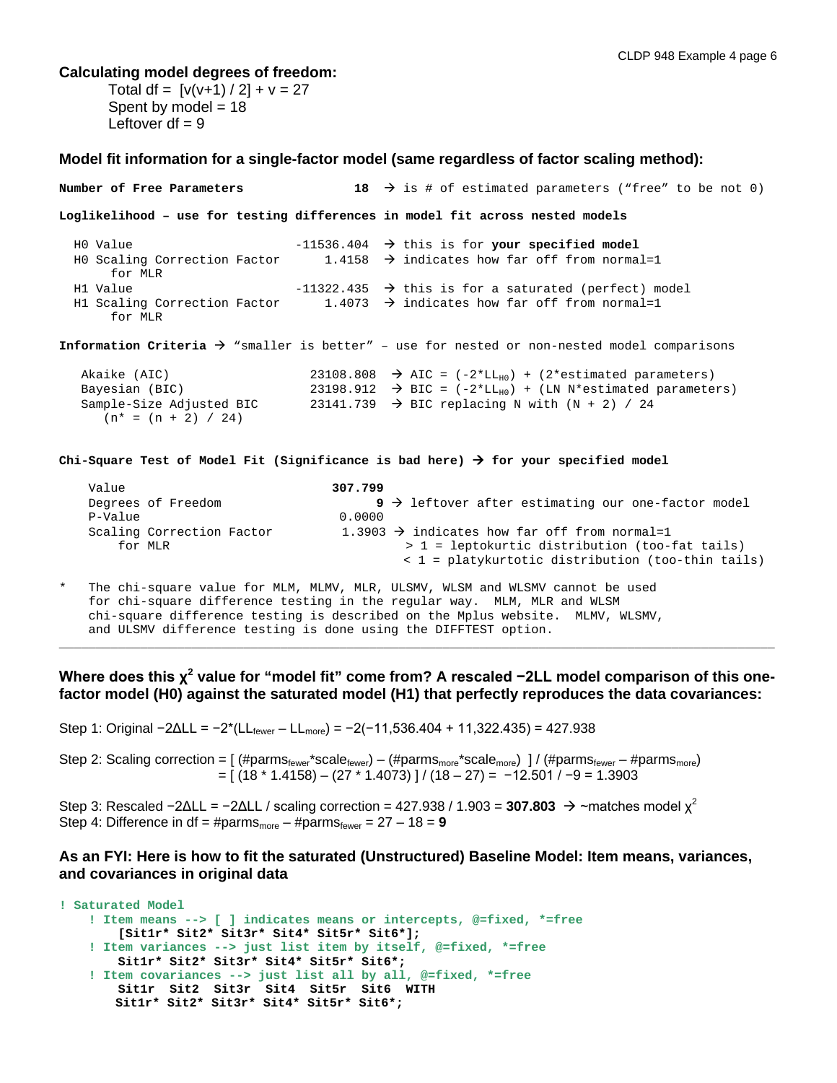#### **Calculating model degrees of freedom:**

 $(n* = (n + 2) / 24)$ 

Total df =  $[v(v+1)/2] + v = 27$ Spent by model  $= 18$ Leftover  $df = 9$ 

#### **Model fit information for a single-factor model (same regardless of factor scaling method):**

**Number of Free Parameters** 18  $\rightarrow$  is # of estimated parameters ("free" to be not 0) **Loglikelihood – use for testing differences in model fit across nested models** H0 Value -11536.404  $\rightarrow$  this is for **your specified model**<br>H0 Scaling Correction Factor 1.4158  $\rightarrow$  indicates how far off from norma 1.4158  $\rightarrow$  indicates how far off from normal=1 for MLR H1 Value  $-11322.435$   $\rightarrow$  this is for a saturated (perfect) model H1 Scaling Correction Factor  $1.4073 \rightarrow$  indicates how far off from normal=1 for MLR **Information Criteria**  $\rightarrow$  "smaller is better" - use for nested or non-nested model comparisons Akaike (AIC) 23108.808  $\rightarrow$  AIC = (-2\*LL<sub>H0</sub>) + (2\*estimated parameters)<br>Bayesian (BIC) 23198.912  $\rightarrow$  BIC = (-2\*LL<sub>H0</sub>) + (LN N\*estimated parameters) Bayesian (BIC) 23198.912  $\rightarrow$  BIC = (-2\*LL<sub>H0</sub>) + (LN N\*estimated parameters)<br>Sample-Size Adjusted BIC 23141.739  $\rightarrow$  BIC replacing N with (N + 2) / 24 23141.739  $\rightarrow$  BIC replacing N with (N + 2) / 24

**Chi-Square Test of Model Fit (Significance is bad here) for your specified model**

| Value                     | 307.799                                                          |
|---------------------------|------------------------------------------------------------------|
| Degrees of Freedom        | $9 \rightarrow$ leftover after estimating our one-factor model   |
| P-Value                   | 0.0000                                                           |
| Scaling Correction Factor | 1.3903 $\rightarrow$ indicates how far off from normal=1         |
| for MLR                   | $> 1$ = leptokurtic distribution (too-fat tails)                 |
|                           | $\langle 1 = \text{platykurtotic distribution (too-thin tails})$ |
|                           |                                                                  |

The chi-square value for MLM, MLMV, MLR, ULSMV, WLSM and WLSMV cannot be used for chi-square difference testing in the regular way. MLM, MLR and WLSM chi-square difference testing is described on the Mplus website. MLMV, WLSMV, and ULSMV difference testing is done using the DIFFTEST option.

**Where does this χ<sup>2</sup> value for "model fit" come from? A rescaled −2LL model comparison of this onefactor model (H0) against the saturated model (H1) that perfectly reproduces the data covariances:**

\_\_\_\_\_\_\_\_\_\_\_\_\_\_\_\_\_\_\_\_\_\_\_\_\_\_\_\_\_\_\_\_\_\_\_\_\_\_\_\_\_\_\_\_\_\_\_\_\_\_\_\_\_\_\_\_\_\_\_\_\_\_\_\_\_\_\_\_\_\_\_\_\_\_\_\_\_\_\_\_\_\_\_\_\_\_\_\_\_\_\_\_\_\_\_\_\_

Step 1: Original −2ΔLL = −2\*(LLfewer – LLmore) = −2(−11,536.404 + 11,322.435) = 427.938

Step 2: Scaling correction =  $[(\# \text{parms}_{\text{fewer}}^* \text{scale}_{\text{fewer}}) - (\# \text{parms}_{\text{more}}^* \text{scale}_{\text{more}})] / (\# \text{parms}_{\text{fewer}} - \# \text{parms}_{\text{more}})$ = [ (18 \* 1.4158) – (27 \* 1.4073) ] / (18 – 27) = −12.501 / −9 = 1.3903

Step 3: Rescaled  $-2\Delta L L = -2\Delta L L$  / scaling correction = 427.938 / 1.903 = **307.803**  $\rightarrow \sim$  matches model  $\chi^2$ Step 4: Difference in df = #parms<sub>more</sub> – #parms<sub>fewer</sub> =  $27 - 18 = 9$ 

### **As an FYI: Here is how to fit the saturated (Unstructured) Baseline Model: Item means, variances, and covariances in original data**

```
! Saturated Model
    ! Item means --> [ ] indicates means or intercepts, @=fixed, *=free
        [Sit1r* Sit2* Sit3r* Sit4* Sit5r* Sit6*];
     ! Item variances --> just list item by itself, @=fixed, *=free
        Sit1r* Sit2* Sit3r* Sit4* Sit5r* Sit6*;
     ! Item covariances --> just list all by all, @=fixed, *=free
        Sit1r Sit2 Sit3r Sit4 Sit5r Sit6 WITH 
       Sit1r* Sit2* Sit3r* Sit4* Sit5r* Sit6*;
```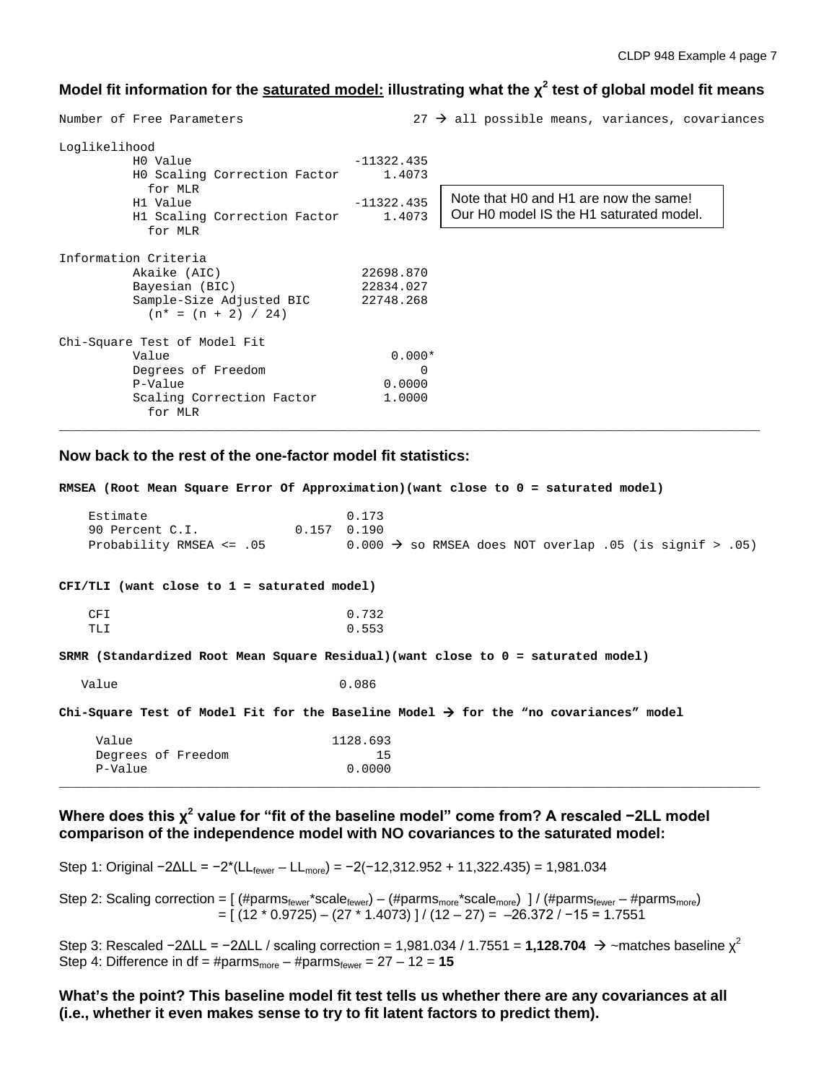## **Model fit information for the saturated model: illustrating what the χ<sup>2</sup> test of global model fit means**

Number of Free Parameters 27  $\rightarrow$  all possible means, variances, covariances Loglikelihood  $-11322.435$  H0 Scaling Correction Factor 1.4073 for MLR<br>H1 Value  $-11322.435$ <br> $1.4073$ H1 Scaling Correction Factor for MLR Information Criteria Akaike (AIC) 22698.870<br>Bayesian (BIC) 22834.027 Bayesian (BIC) 22834.027<br>Sample-Size Adjusted BIC 22748.268 Sample-Size Adjusted BIC  $(n* = (n + 2) / 24)$ Chi-Square Test of Model Fit Value 0.000\* Degrees of Freedom 0<br>
P-Value 0.0000 P-Value 0.0000 Scaling Correction Factor 1.0000 for MLR Note that H0 and H1 are now the same! Our H0 model IS the H1 saturated model.

\_\_\_\_\_\_\_\_\_\_\_\_\_\_\_\_\_\_\_\_\_\_\_\_\_\_\_\_\_\_\_\_\_\_\_\_\_\_\_\_\_\_\_\_\_\_\_\_\_\_\_\_\_\_\_\_\_\_\_\_\_\_\_\_\_\_\_\_\_\_\_\_\_\_\_\_\_\_\_\_\_\_\_\_\_\_\_\_\_\_\_\_\_\_\_

#### **Now back to the rest of the one-factor model fit statistics:**

**RMSEA (Root Mean Square Error Of Approximation)(want close to 0 = saturated model)** Estimate 0.173 90 Percent C.I. 0.157 0.190 Probability RMSEA <= .05 0.000  $\rightarrow$  so RMSEA does NOT overlap .05 (is signif > .05) **CFI/TLI (want close to 1 = saturated model)** CFI 0.732 TLI 0.553 **SRMR (Standardized Root Mean Square Residual)(want close to 0 = saturated model)** Value 0.086 **Chi-Square Test of Model Fit for the Baseline Model for the "no covariances" model** Value 1128.693<br>Degrees of Freedom 15 Degrees of Freedom 15<br>P-Value 0.0000 P-Value \_\_\_\_\_\_\_\_\_\_\_\_\_\_\_\_\_\_\_\_\_\_\_\_\_\_\_\_\_\_\_\_\_\_\_\_\_\_\_\_\_\_\_\_\_\_\_\_\_\_\_\_\_\_\_\_\_\_\_\_\_\_\_\_\_\_\_\_\_\_\_\_\_\_\_\_\_\_\_\_\_\_\_\_\_\_\_\_\_\_\_\_\_\_\_

### **Where does this χ<sup>2</sup> value for "fit of the baseline model" come from? A rescaled −2LL model comparison of the independence model with NO covariances to the saturated model:**

Step 1: Original  $-2\Delta L L = -2*(L_{fower} - L_{more}) = -2(-12,312.952 + 11,322.435) = 1,981.034$ 

Step 2: Scaling correction =  $[$  (#parms<sub>fewer</sub>\*scale<sub>fewer</sub>) – (#parms<sub>more</sub>\*scale<sub>more</sub>) ] / (#parms<sub>fewer</sub> – #parms<sub>more</sub>) = [ (12 \* 0.9725) – (27 \* 1.4073) ] / (12 – 27) = –26.372 / −15 = 1.7551

Step 3: Rescaled  $-2\Delta L L = -2\Delta L L$  / scaling correction = 1,981.034 / 1.7551 = **1,128.704**  $\rightarrow \sim$ matches baseline  $\chi^2$ Step 4: Difference in df = #parms<sub>more</sub> – #parms<sub>fewer</sub> =  $27 - 12 = 15$ 

**What's the point? This baseline model fit test tells us whether there are any covariances at all (i.e., whether it even makes sense to try to fit latent factors to predict them).**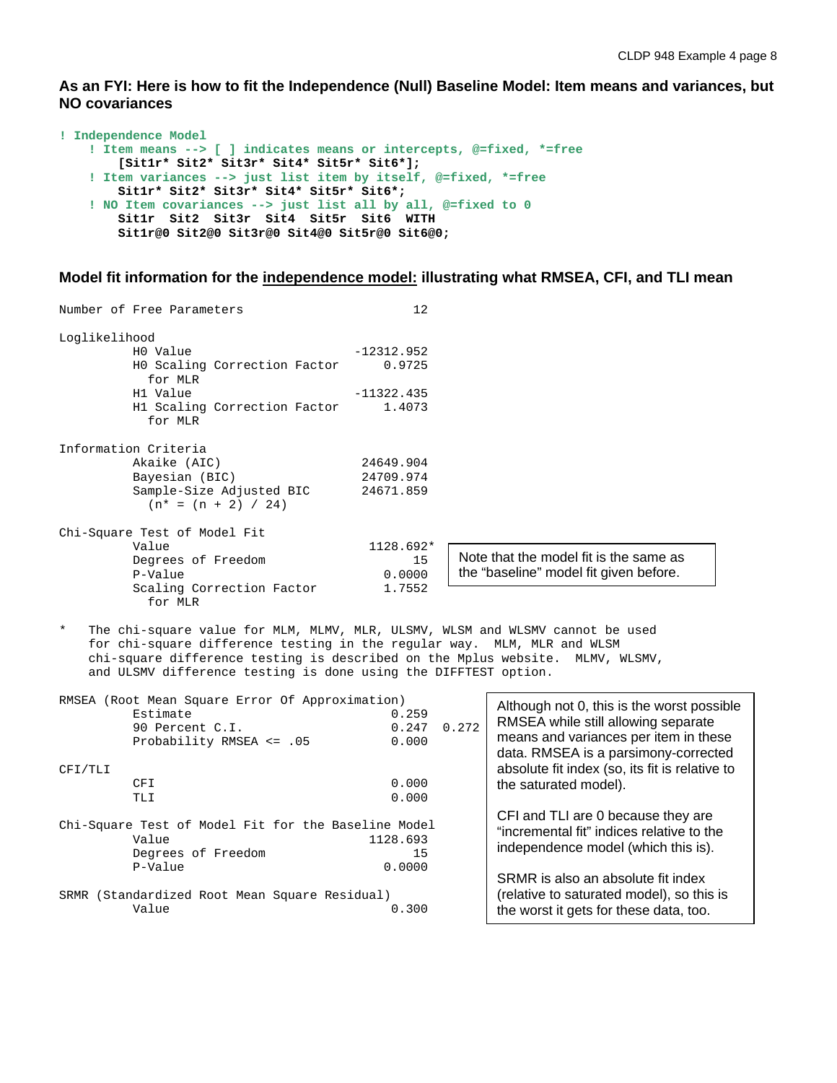**As an FYI: Here is how to fit the Independence (Null) Baseline Model: Item means and variances, but NO covariances**

```
! Independence Model
     ! Item means --> [ ] indicates means or intercepts, @=fixed, *=free
         [Sit1r* Sit2* Sit3r* Sit4* Sit5r* Sit6*];
     ! Item variances --> just list item by itself, @=fixed, *=free
        Sit1r* Sit2* Sit3r* Sit4* Sit5r* Sit6*;
     ! NO Item covariances --> just list all by all, @=fixed to 0
        Sit1r Sit2 Sit3r Sit4 Sit5r Sit6 WITH 
        Sit1r@0 Sit2@0 Sit3r@0 Sit4@0 Sit5r@0 Sit6@0;
```
#### **Model fit information for the independence model: illustrating what RMSEA, CFI, and TLI mean**

|               | Number of Free Parameters                                   | 12           |                                        |
|---------------|-------------------------------------------------------------|--------------|----------------------------------------|
| Loglikelihood |                                                             |              |                                        |
|               | HO Value                                                    | $-12312.952$ |                                        |
|               | HO Scaling Correction Factor<br>for MLR                     | 0.9725       |                                        |
|               | H1 Value                                                    | $-11322.435$ |                                        |
|               | H1 Scaling Correction Factor<br>for MLR                     | 1.4073       |                                        |
|               | Information Criteria                                        |              |                                        |
|               | Akaike (AIC)                                                | 24649.904    |                                        |
|               | Bayesian (BIC)                                              | 24709.974    |                                        |
|               | Sample-Size Adjusted BIC 24671.859<br>$(n* = (n + 2) / 24)$ |              |                                        |
|               | Chi-Square Test of Model Fit                                |              |                                        |
|               | Value                                                       | 1128.692*    |                                        |
|               | Degrees of Freedom                                          | 15           | Note that the model fit is the same as |
|               | P-Value                                                     | 0.0000       | the "baseline" model fit given before. |
|               | Scaling Correction Factor<br>for MLR                        | 1.7552       |                                        |

\* The chi-square value for MLM, MLMV, MLR, ULSMV, WLSM and WLSMV cannot be used for chi-square difference testing in the regular way. MLM, MLR and WLSM chi-square difference testing is described on the Mplus website. MLMV, WLSMV, and ULSMV difference testing is done using the DIFFTEST option.

|         | RMSEA (Root Mean Square Error Of Approximation)<br>Estimate<br>90 Percent C.I.<br>Probability RMSEA <= .05 | 0.259<br>0.247<br>0.000  | 0.272 | Although not 0, this is the worst possible<br>RMSEA while still allowing separate<br>means and variances per item in these<br>data. RMSEA is a parsimony-corrected |
|---------|------------------------------------------------------------------------------------------------------------|--------------------------|-------|--------------------------------------------------------------------------------------------------------------------------------------------------------------------|
| CFI/TLI |                                                                                                            |                          |       | absolute fit index (so, its fit is relative to                                                                                                                     |
|         | CFI                                                                                                        | 0.000                    |       | the saturated model).                                                                                                                                              |
|         | TLI                                                                                                        | 0.000                    |       |                                                                                                                                                                    |
|         | Chi-Square Test of Model Fit for the Baseline Model<br>Value<br>Degrees of Freedom<br>P-Value              | 1128.693<br>15<br>0.0000 |       | CFI and TLI are 0 because they are<br>"incremental fit" indices relative to the<br>independence model (which this is).                                             |
|         | SRMR (Standardized Root Mean Square Residual)<br>Value                                                     | 0.300                    |       | SRMR is also an absolute fit index<br>(relative to saturated model), so this is<br>the worst it gets for these data, too.                                          |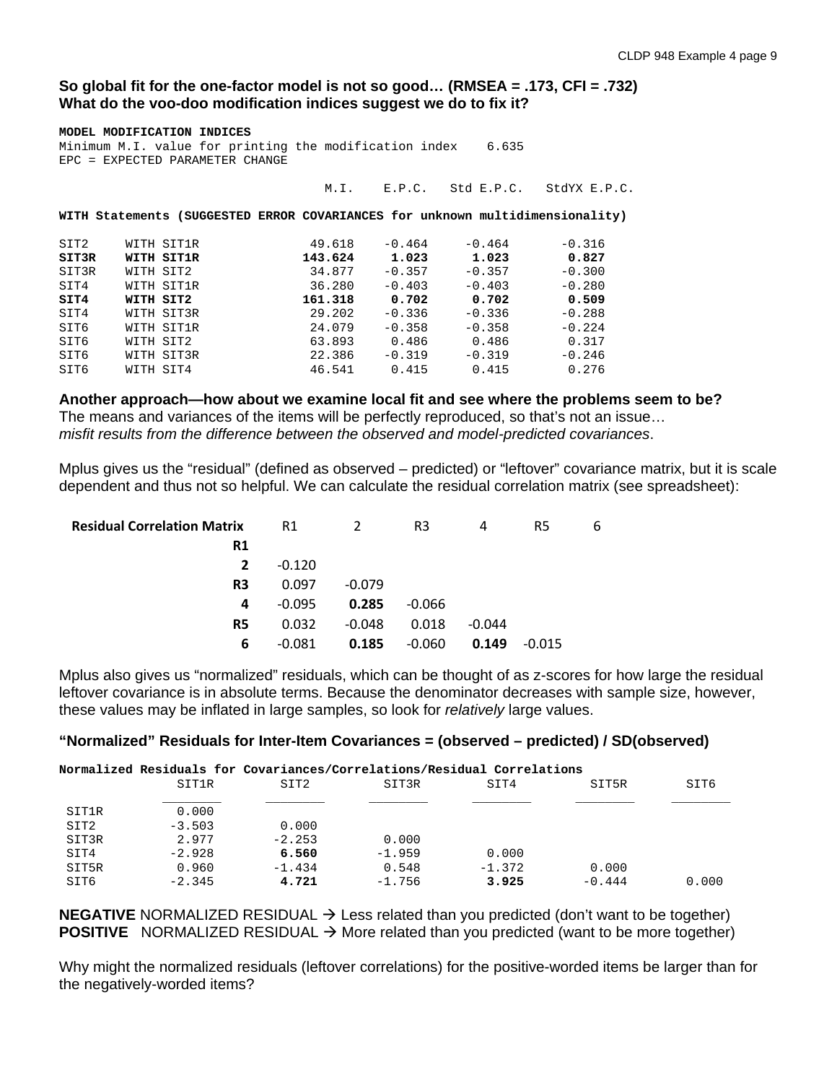### **So global fit for the one-factor model is not so good… (RMSEA = .173, CFI = .732) What do the voo-doo modification indices suggest we do to fix it?**

| MODEL MODIFICATION INDICES<br>Minimum M.I. value for printing the modification index 6.635<br>EPC = EXPECTED PARAMETER CHANGE |  |                                                                               |  |         |          |          |                                |  |
|-------------------------------------------------------------------------------------------------------------------------------|--|-------------------------------------------------------------------------------|--|---------|----------|----------|--------------------------------|--|
|                                                                                                                               |  |                                                                               |  | M.L.    |          |          | E.P.C. Std E.P.C. StdYX E.P.C. |  |
|                                                                                                                               |  | WITH Statements (SUGGESTED ERROR COVARIANCES for unknown multidimensionality) |  |         |          |          |                                |  |
| SIT2                                                                                                                          |  | WITH SIT1R                                                                    |  | 49.618  | $-0.464$ | $-0.464$ | $-0.316$                       |  |
| SIT3R                                                                                                                         |  | WITH SIT1R                                                                    |  | 143.624 | 1.023    | 1.023    | 0.827                          |  |
| SIT3R                                                                                                                         |  | WITH SIT2                                                                     |  | 34.877  | $-0.357$ | $-0.357$ | $-0.300$                       |  |
| SIT4                                                                                                                          |  | WITH SIT1R                                                                    |  | 36.280  | $-0.403$ | $-0.403$ | $-0.280$                       |  |
| SIT4                                                                                                                          |  | WITH SIT2                                                                     |  | 161.318 | 0.702    | 0.702    | 0.509                          |  |
| SIT4                                                                                                                          |  | WITH SIT3R                                                                    |  | 29.202  | $-0.336$ | $-0.336$ | $-0.288$                       |  |
| SIT6                                                                                                                          |  | WITH SIT1R                                                                    |  | 24.079  | $-0.358$ | $-0.358$ | $-0.224$                       |  |
| SIT6                                                                                                                          |  | WITH SIT2                                                                     |  | 63.893  | 0.486    | 0.486    | 0.317                          |  |
| SIT6                                                                                                                          |  | WITH SIT3R                                                                    |  | 22.386  | $-0.319$ | $-0.319$ | $-0.246$                       |  |
| SIT6                                                                                                                          |  | WITH SIT4                                                                     |  | 46.541  | 0.415    | 0.415    | 0.276                          |  |

**Another approach—how about we examine local fit and see where the problems seem to be?**  The means and variances of the items will be perfectly reproduced, so that's not an issue… *misfit results from the difference between the observed and model-predicted covariances*.

Mplus gives us the "residual" (defined as observed – predicted) or "leftover" covariance matrix, but it is scale dependent and thus not so helpful. We can calculate the residual correlation matrix (see spreadsheet):

| <b>Residual Correlation Matrix</b> | R1       | 2        | R3       | 4        | R5       | 6 |
|------------------------------------|----------|----------|----------|----------|----------|---|
| R1                                 |          |          |          |          |          |   |
| $\overline{2}$                     | $-0.120$ |          |          |          |          |   |
| R <sub>3</sub>                     | 0.097    | $-0.079$ |          |          |          |   |
| 4                                  | $-0.095$ | 0.285    | $-0.066$ |          |          |   |
| R <sub>5</sub>                     | 0.032    | $-0.048$ | 0.018    | $-0.044$ |          |   |
| 6                                  | $-0.081$ | 0.185    | $-0.060$ | 0.149    | $-0.015$ |   |

Mplus also gives us "normalized" residuals, which can be thought of as z-scores for how large the residual leftover covariance is in absolute terms. Because the denominator decreases with sample size, however, these values may be inflated in large samples, so look for *relatively* large values.

## **"Normalized" Residuals for Inter-Item Covariances = (observed – predicted) / SD(observed)**

|       | Normalized Residuals for Covariances/Correlations/Residual Correlations |                  |          |          |          |       |
|-------|-------------------------------------------------------------------------|------------------|----------|----------|----------|-------|
|       | SIT1R                                                                   | SIT <sub>2</sub> | SIT3R    | SIT4     | SIT5R    | SIT6  |
|       |                                                                         |                  |          |          |          |       |
| SIT1R | 0.000                                                                   |                  |          |          |          |       |
| SIT2  | $-3.503$                                                                | 0.000            |          |          |          |       |
| SIT3R | 2.977                                                                   | $-2.253$         | 0.000    |          |          |       |
| SIT4  | $-2.928$                                                                | 6.560            | $-1.959$ | 0.000    |          |       |
| SIT5R | 0.960                                                                   | $-1.434$         | 0.548    | $-1.372$ | 0.000    |       |
| SIT6  | $-2.345$                                                                | 4.721            | $-1.756$ | 3.925    | $-0.444$ | 0.000 |

**NEGATIVE** NORMALIZED RESIDUAL  $\rightarrow$  Less related than you predicted (don't want to be together) **POSITIVE** NORMALIZED RESIDUAL  $\rightarrow$  More related than you predicted (want to be more together)

Why might the normalized residuals (leftover correlations) for the positive-worded items be larger than for the negatively-worded items?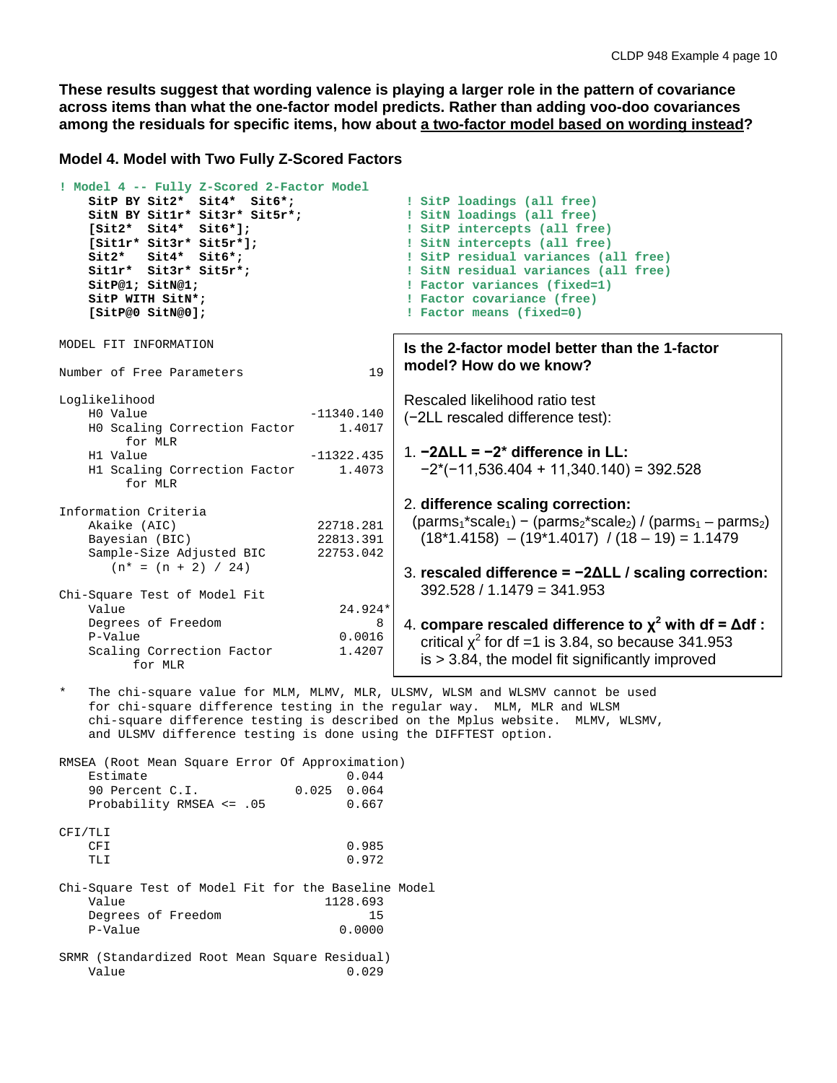**These results suggest that wording valence is playing a larger role in the pattern of covariance across items than what the one-factor model predicts. Rather than adding voo-doo covariances among the residuals for specific items, how about a two-factor model based on wording instead?**

**Model 4. Model with Two Fully Z-Scored Factors**

```
! Model 4 -- Fully Z-Scored 2-Factor Model
    SitP BY Sit2* Sit4* Sit6*; I SitP loadings (all free)<br>
SitN BY Sit1r* Sit3r* Sit5r*; I SitN loadings (all free)
    SitN BY Sit1r* Sit3r* Sit5r*;<br>[Sit2* Sit4* Sit6*];
     [Sit2* Sit4* Sit6*]; ! SitP intercepts (all free)
     [Sit1r* Sit3r* Sit5r*]; \begin{array}{ccc} 1 & 1 & 1 & 1 \end{array}<br>Sit2* Sit4* Sit6*; \begin{array}{ccc} 2 & 1 & 1 \end{array} SitP residual variances (a
    Sit2* Sit4* Sit6*;<br>
Sit1r* Sit3r* Sit5r*;<br>
Sit1r* Sit3r* Sit5r*;<br>
BitN residual variances (all free)
    Sit1r* Sit3r* Sit5r*; \qquad \qquad ! SitN residual variances (all free)<br>SitP@1; SitN@1; \qquad \qquad ! Factor variances (fixed=1)
    SitP@1; SitN@1; The set of the set of the set of the set of the set of the set of the set of the set of the set of the set of the set of the set of the set of the set of the set of the set of the set of the set of the se
    SitP WITH SitN*;<br>
SitP@O SitN@O];<br>
SitP@O SitN@O];<br>
B Tactor means (fixed=0)
                                                       ! Factor means (fixed=0)
MODEL FIT INFORMATION
Number of Free Parameters 19
Loglikelihood
                                        -11340.140<br>1.4017H0 Scaling Correction Factor
    for MLR<br>H1 Value
                                        -11322.435 H1 Scaling Correction Factor 1.4073
           for MLR
Information Criteria
    Akaike (AIC) 22718.281<br>Bavesian (BIC) 22813.391
    Bayesian (BIC) 22813.391<br>Sample-Size Adjusted BIC 22753.042
    Sample-Size Adjusted BIC
        (n^* = (n + 2) / 24)Chi-Square Test of Model Fit
                                            24.924*<br>8
    Degrees of Freedom 8<br>P-Value 0.0016
P-Value 0.0016
    Scaling Correction Factor 1.4207
            for MLR
    The chi-square value for MLM, MLMV, MLR, ULSMV, WLSM and WLSMV cannot be used
     for chi-square difference testing in the regular way. MLM, MLR and WLSM
     chi-square difference testing is described on the Mplus website. MLMV, WLSMV,
     and ULSMV difference testing is done using the DIFFTEST option.
RMSEA (Root Mean Square Error Of Approximation)
    Estimate 0.044<br>90 Percent C.I. 0.025 0.064
    90 Percent C.I. 0.025 0.064<br>Probability RMSEA <= .05 0.667
    Probability RMSEA <= .05
CFI/TLI
CFI 0.985
TLI 0.972
Chi-Square Test of Model Fit for the Baseline Model
                                          1128.693<br>15
    Degrees of Freedom 15<br>
P-Value 0.0000
                                                       Is the 2-factor model better than the 1-factor 
                                                       model? How do we know? 
                                                        Rescaled likelihood ratio test 
                                                        (−2LL rescaled difference test):
                                                        1. −2ΔLL = −2* difference in LL: 
                                                           −2*(−11,536.404 + 11,340.140) = 392.528
                                                        2. difference scaling correction:
                                                         (\text{params}_1^* \text{scale}_1) - (\text{params}_2^* \text{scale}_2) / (\text{params}_1 - \text{params}_2)(18*1.4158) - (19*1.4017) / (18 - 19) = 1.14793. rescaled difference = −2ΔLL / scaling correction:
                                                           392.528 / 1.1479 = 341.953
                                                       4. compare rescaled difference to χ2 with df = Δdf :
                                                          critical x^2 for df =1 is 3.84, so because 341.953
                                                           is > 3.84, the model fit significantly improved
```
SRMR (Standardized Root Mean Square Residual) Value 0.029

 $P-Value$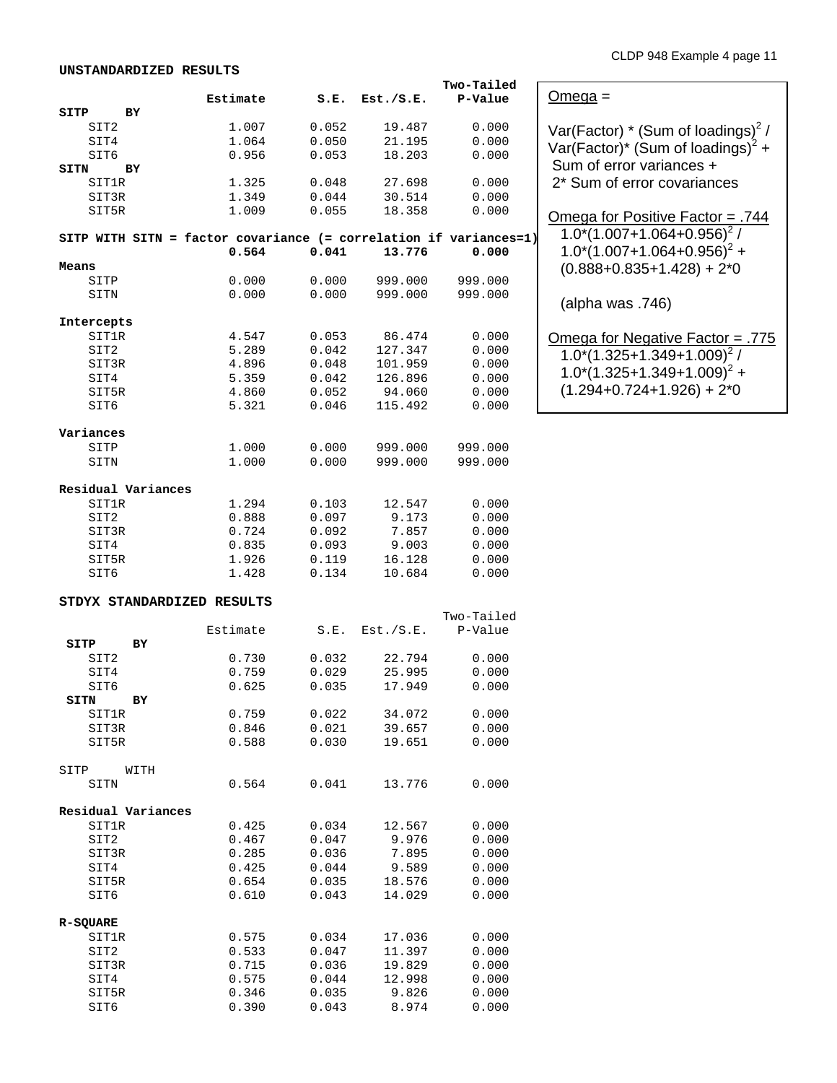|                                                                   |          |       |           | Two-Tailed |                                                  |
|-------------------------------------------------------------------|----------|-------|-----------|------------|--------------------------------------------------|
|                                                                   | Estimate | S.E.  | Est./S.E. | P-Value    | $Omega =$                                        |
| SITP<br>ВY                                                        |          |       |           |            |                                                  |
| SIT2                                                              | 1.007    | 0.052 | 19.487    | 0.000      |                                                  |
|                                                                   |          |       |           |            | Var(Factor) $*$ (Sum of loadings) <sup>2</sup> / |
| SIT4                                                              | 1.064    | 0.050 | 21.195    | 0.000      | Var(Factor)* (Sum of loadings) <sup>2</sup> +    |
| SIT6                                                              | 0.956    | 0.053 | 18.203    | 0.000      |                                                  |
| ВY<br>SITN                                                        |          |       |           |            | Sum of error variances +                         |
| SIT1R                                                             | 1.325    | 0.048 | 27.698    | 0.000      | 2* Sum of error covariances                      |
| SIT3R                                                             | 1.349    | 0.044 | 30.514    | 0.000      |                                                  |
| SIT5R                                                             | 1.009    | 0.055 | 18.358    | 0.000      |                                                  |
|                                                                   |          |       |           |            | <u> Omega for Positive Factor = .744</u>         |
|                                                                   |          |       |           |            | $1.0^{*}(1.007+1.064+0.956)^{2}$ /               |
| SITP WITH SITN = factor covariance (= correlation if variances=1) |          |       |           |            |                                                  |
|                                                                   | 0.564    | 0.041 | 13.776    | 0.000      | $1.0^{*}(1.007+1.064+0.956)^{2} +$               |
| Means                                                             |          |       |           |            | $(0.888 + 0.835 + 1.428) + 2*0$                  |
| SITP                                                              | 0.000    | 0.000 | 999.000   | 999.000    |                                                  |
|                                                                   | 0.000    | 0.000 | 999.000   | 999.000    |                                                  |
| SITN                                                              |          |       |           |            | (alpha was .746)                                 |
|                                                                   |          |       |           |            |                                                  |
| Intercepts                                                        |          |       |           |            |                                                  |
| SIT1R                                                             | 4.547    | 0.053 | 86.474    | 0.000      | <u> Omega for Negative Factor = .775</u>         |
| SIT2                                                              | 5.289    | 0.042 | 127.347   | 0.000      |                                                  |
| SIT3R                                                             | 4.896    | 0.048 | 101.959   | 0.000      | $1.0^{*}(1.325+1.349+1.009)^{2}$ /               |
|                                                                   |          | 0.042 | 126.896   |            | $1.0^{*}(1.325+1.349+1.009)^{2}$ +               |
| SIT4                                                              | 5.359    |       |           | 0.000      | $(1.294+0.724+1.926) + 2*0$                      |
| SIT5R                                                             | 4.860    | 0.052 | 94.060    | 0.000      |                                                  |
| SIT6                                                              | 5.321    | 0.046 | 115.492   | 0.000      |                                                  |
|                                                                   |          |       |           |            |                                                  |
| Variances                                                         |          |       |           |            |                                                  |
| SITP                                                              | 1.000    | 0.000 | 999.000   | 999.000    |                                                  |
|                                                                   | 1.000    | 0.000 | 999.000   | 999.000    |                                                  |
| SITN                                                              |          |       |           |            |                                                  |
|                                                                   |          |       |           |            |                                                  |
| Residual Variances                                                |          |       |           |            |                                                  |
| SIT1R                                                             | 1.294    | 0.103 | 12.547    | 0.000      |                                                  |
| SIT2                                                              | 0.888    | 0.097 | 9.173     | 0.000      |                                                  |
| SIT3R                                                             | 0.724    | 0.092 | 7.857     | 0.000      |                                                  |
|                                                                   |          |       |           |            |                                                  |
| SIT4                                                              | 0.835    | 0.093 | 9.003     | 0.000      |                                                  |
| SIT5R                                                             | 1.926    | 0.119 | 16.128    | 0.000      |                                                  |
| SIT6                                                              | 1.428    | 0.134 | 10.684    | 0.000      |                                                  |
|                                                                   |          |       |           |            |                                                  |
| STDYX STANDARDIZED RESULTS                                        |          |       |           |            |                                                  |
|                                                                   |          |       |           | Two-Tailed |                                                  |
|                                                                   |          |       |           |            |                                                  |
|                                                                   | Estimate | S.E.  | Est./S.E. | P-Value    |                                                  |
| SITP<br>ВY                                                        |          |       |           |            |                                                  |
| SIT2                                                              | 0.730    | 0.032 | 22.794    | 0.000      |                                                  |
| SIT4                                                              | 0.759    | 0.029 | 25.995    | 0.000      |                                                  |
| SIT6                                                              | 0.625    | 0.035 | 17.949    | 0.000      |                                                  |
| SITN                                                              |          |       |           |            |                                                  |
| ВY                                                                |          |       |           |            |                                                  |
| SIT1R                                                             | 0.759    | 0.022 | 34.072    | 0.000      |                                                  |
| SIT3R                                                             | 0.846    | 0.021 | 39.657    | 0.000      |                                                  |
| SIT5R                                                             | 0.588    | 0.030 | 19.651    | 0.000      |                                                  |
|                                                                   |          |       |           |            |                                                  |
| SITP<br>WITH                                                      |          |       |           |            |                                                  |
|                                                                   | 0.564    | 0.041 | 13.776    | 0.000      |                                                  |
| SITN                                                              |          |       |           |            |                                                  |
|                                                                   |          |       |           |            |                                                  |
| Residual Variances                                                |          |       |           |            |                                                  |
| SIT1R                                                             | 0.425    | 0.034 | 12.567    | 0.000      |                                                  |
| SIT2                                                              | 0.467    | 0.047 | 9.976     | 0.000      |                                                  |
| SIT3R                                                             | 0.285    | 0.036 | 7.895     | 0.000      |                                                  |
| SIT4                                                              | 0.425    | 0.044 | 9.589     | 0.000      |                                                  |
|                                                                   |          |       |           |            |                                                  |
| SIT5R                                                             | 0.654    | 0.035 | 18.576    | 0.000      |                                                  |
| SIT6                                                              | 0.610    | 0.043 | 14.029    | 0.000      |                                                  |
|                                                                   |          |       |           |            |                                                  |
| R-SQUARE                                                          |          |       |           |            |                                                  |
| SIT1R                                                             | 0.575    | 0.034 | 17.036    | 0.000      |                                                  |
| SIT2                                                              |          | 0.047 | 11.397    | 0.000      |                                                  |
|                                                                   | 0.533    |       |           |            |                                                  |
| SIT3R                                                             | 0.715    | 0.036 | 19.829    | 0.000      |                                                  |
| SIT4                                                              | 0.575    | 0.044 | 12.998    | 0.000      |                                                  |
| SIT5R                                                             | 0.346    | 0.035 | 9.826     | 0.000      |                                                  |

SIT6 0.390 0.043 8.974 0.000

**UNSTANDARDIZED RESULTS**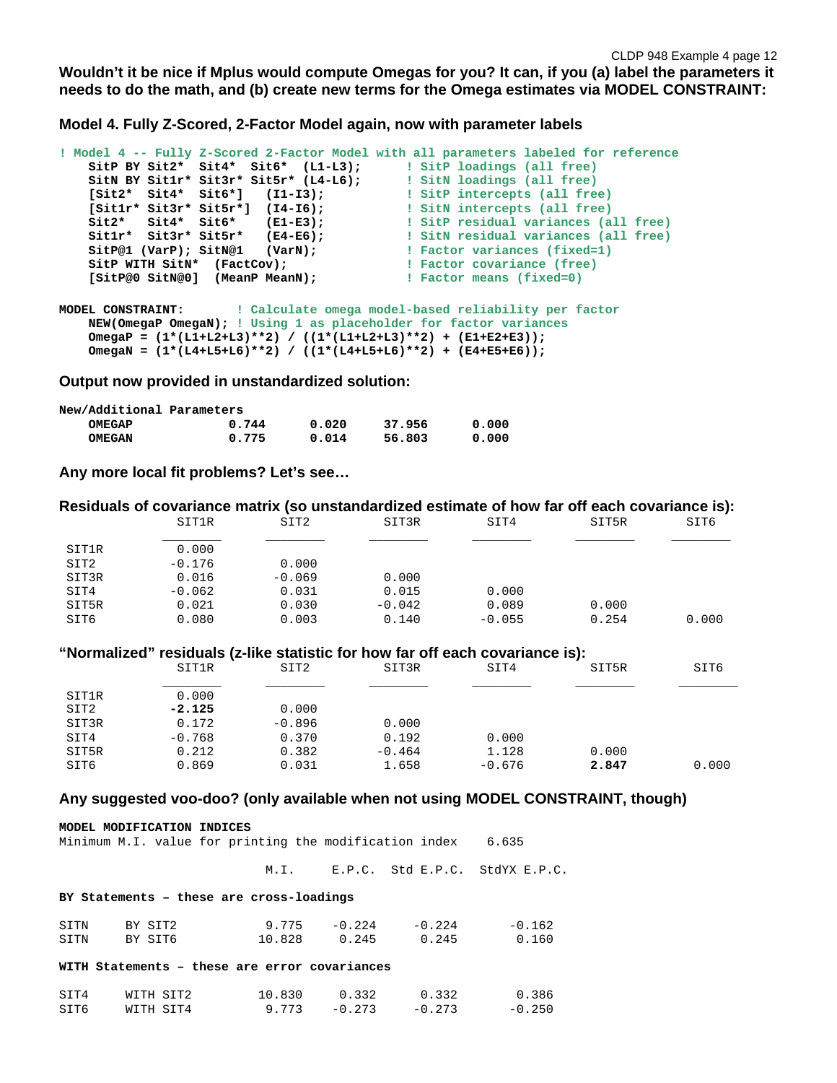**Model 4. Fully Z-Scored, 2-Factor Model again, now with parameter labels**

```
! Model 4 -- Fully Z-Scored 2-Factor Model with all parameters labeled for reference
    SitP BY Sit2* Sit4* Sit6* (L1-L3); ! SitP loadings (all free)
 SitN BY Sit1r* Sit3r* Sit5r* (L4-L6); ! SitN loadings (all free)
 [Sit2* Sit4* Sit6*] (I1-I3); ! SitP intercepts (all free)
 [Sit1r* Sit3r* Sit5r*] (I4-I6); ! SitN intercepts (all free)
 Sit2* Sit4* Sit6* (E1-E3); ! SitP residual variances (all free)
 Sit1r* Sit3r* Sit5r* (E4-E6); ! SitN residual variances (all free)
 SitP@1 (VarP); SitN@1 (VarN); ! Factor variances (fixed=1)
 SitP WITH SitN* (FactCov); ! Factor covariance (free)
   EXECUTE ATTA FACTLO SITE ATTACHMENT COVALIANCE (ITE<br>
SitP@0 SitN@0] (MeanP MeanN); The leader means (fixed=0)
MODEL CONSTRAINT: ! Calculate omega model-based reliability per factor
    NEW(OmegaP OmegaN); ! Using 1 as placeholder for factor variances
    OmegaP = (1*(L1+L2+L3)**2) / ((1*(L1+L2+L3)**2) + (E1+E2+E3));
```
**Output now provided in unstandardized solution:**

| New/Additional Parameters |       |       |        |       |
|---------------------------|-------|-------|--------|-------|
| <b>OMEGAP</b>             | 0.744 | 0.020 | 37.956 | 0.000 |
| <b>OMEGAN</b>             | 0.775 | 0.014 | 56.803 | 0.000 |

 **OmegaN = (1\*(L4+L5+L6)\*\*2) / ((1\*(L4+L5+L6)\*\*2) + (E4+E5+E6));**

**Any more local fit problems? Let's see…**

|       |          |                  | Residuals of covariance matrix (so unstandardized estimate of how far off each covariance is): |          |       |       |
|-------|----------|------------------|------------------------------------------------------------------------------------------------|----------|-------|-------|
|       | SIT1R    | SIT2             | SIT3R                                                                                          | SIT4     | SIT5R | SIT6  |
| SIT1R | 0.000    |                  |                                                                                                |          |       |       |
| SIT2  | $-0.176$ | 0.000            |                                                                                                |          |       |       |
| SIT3R | 0.016    | $-0.069$         | 0.000                                                                                          |          |       |       |
| SIT4  | $-0.062$ | 0.031            | 0.015                                                                                          | 0.000    |       |       |
| SIT5R | 0.021    | 0.030            | $-0.042$                                                                                       | 0.089    | 0.000 |       |
| SIT6  | 0.080    | 0.003            | 0.140                                                                                          | $-0.055$ | 0.254 | 0.000 |
|       |          |                  | "Normalized" residuals (z-like statistic for how far off each covariance is):                  |          |       |       |
|       | SIT1R    | SIT <sub>2</sub> | SIT3R                                                                                          | SIT4     | SIT5R | SIT6  |
| SIT1R | 0.000    |                  |                                                                                                |          |       |       |
| SIT2  | $-2.125$ | 0.000            |                                                                                                |          |       |       |
| SIT3R | 0.172    | $-0.896$         | 0.000                                                                                          |          |       |       |
| SIT4  | $-0.768$ | 0.370            | 0.192                                                                                          | 0.000    |       |       |
| SIT5R | 0.212    | 0.382            | $-0.464$                                                                                       | 1.128    | 0.000 |       |

SIT6 0.869 0.031 1.658 -0.676 **2.847** 0.000

#### **Any suggested voo-doo? (only available when not using MODEL CONSTRAINT, though)**

|      | MODEL MODIFICATION INDICES | Minimum M.I. value for printing the modification index 6.635 |                 |                 |                                     |
|------|----------------------------|--------------------------------------------------------------|-----------------|-----------------|-------------------------------------|
|      |                            |                                                              |                 |                 | M.I. E.P.C. Std E.P.C. StdYX E.P.C. |
|      |                            | BY Statements - these are cross-loadings                     |                 |                 |                                     |
| SITN | BY SIT2                    |                                                              | $9.775 - 0.224$ | $-0.224$        | $-0.162$                            |
| SITN | BY SIT6                    | 10.828                                                       | 0.245           | 0.245           | 0.160                               |
|      |                            | WITH Statements - these are error covariances                |                 |                 |                                     |
| SIT4 | WITH SIT2                  | 10.830                                                       |                 | $0.332$ $0.332$ | 0.386                               |
| SIT6 | WITH SIT4                  | $9.773 - 0.273 - 0.273$                                      |                 |                 | $-0.250$                            |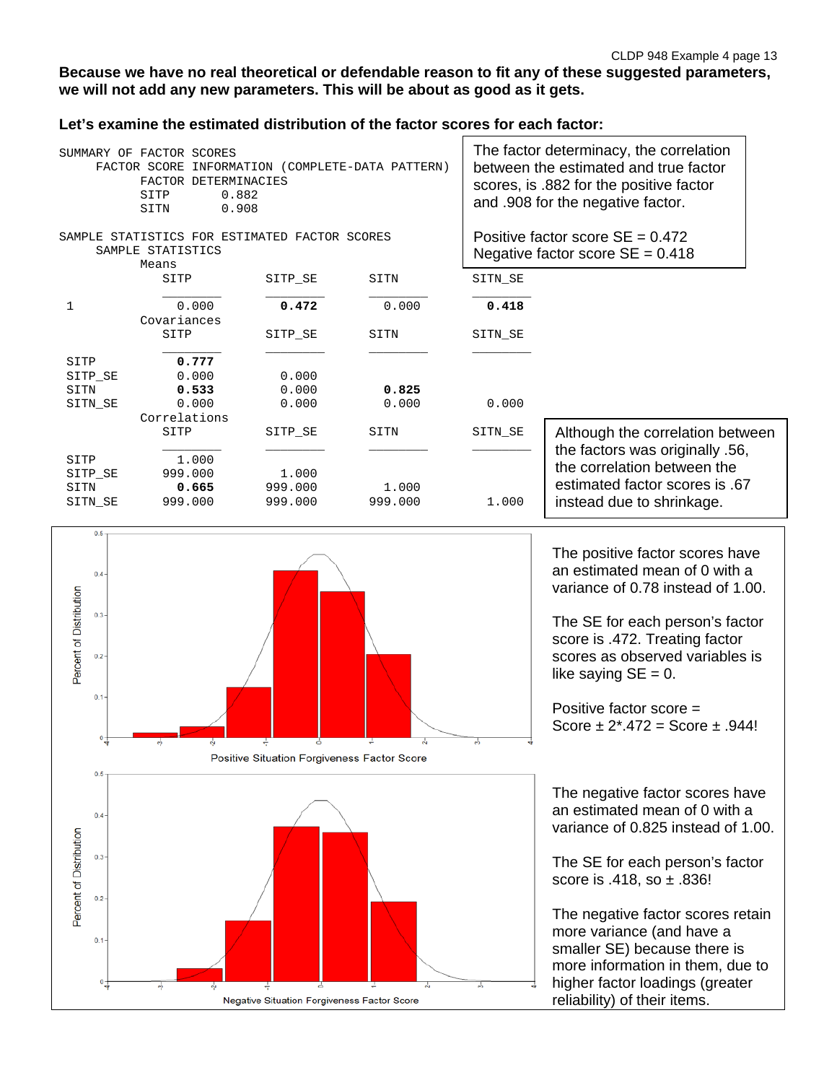# **Because we have no real theoretical or defendable reason to fit any of these suggested parameters, we will not add any new parameters. This will be about as good as it gets.**

# **Let's examine the estimated distribution of the factor scores for each factor:**

|         | The factor determinacy, the correlation<br>SUMMARY OF FACTOR SCORES<br>between the estimated and true factor<br>INFORMATION (COMPLETE-DATA PATTERN)<br>FACTOR SCORE<br>FACTOR DETERMINACIES<br>scores, is .882 for the positive factor<br>0.882<br>SITP<br>and .908 for the negative factor.<br>0.908<br>SITN |         |         |         |                                                                          |
|---------|---------------------------------------------------------------------------------------------------------------------------------------------------------------------------------------------------------------------------------------------------------------------------------------------------------------|---------|---------|---------|--------------------------------------------------------------------------|
|         | SAMPLE STATISTICS FOR ESTIMATED FACTOR SCORES<br>SAMPLE STATISTICS<br>Means                                                                                                                                                                                                                                   |         |         |         | Positive factor score $SE = 0.472$<br>Negative factor score $SE = 0.418$ |
|         | SITP                                                                                                                                                                                                                                                                                                          | SITP SE | SITN    | SITN SE |                                                                          |
| 1       | 0.000<br>Covariances                                                                                                                                                                                                                                                                                          | 0.472   | 0.000   | 0.418   |                                                                          |
|         | SITP                                                                                                                                                                                                                                                                                                          | SITP SE | SITN    | SITN SE |                                                                          |
| SITP    | 0.777                                                                                                                                                                                                                                                                                                         |         |         |         |                                                                          |
| SITP SE | 0.000                                                                                                                                                                                                                                                                                                         | 0.000   |         |         |                                                                          |
| SITN    | 0.533                                                                                                                                                                                                                                                                                                         | 0.000   | 0.825   |         |                                                                          |
| SITN SE | 0.000                                                                                                                                                                                                                                                                                                         | 0.000   | 0.000   | 0.000   |                                                                          |
|         | Correlations                                                                                                                                                                                                                                                                                                  |         |         |         |                                                                          |
|         | SITP                                                                                                                                                                                                                                                                                                          | SITP SE | SITN    | SITN SE | Although the correlation between                                         |
| SITP    | 1,000                                                                                                                                                                                                                                                                                                         |         |         |         | the factors was originally .56,                                          |
| SITP SE | 999.000                                                                                                                                                                                                                                                                                                       | 1,000   |         |         | the correlation between the                                              |
| SITN    | 0.665                                                                                                                                                                                                                                                                                                         | 999.000 | 1,000   |         | estimated factor scores is .67                                           |
| SITN SE | 999.000                                                                                                                                                                                                                                                                                                       | 999.000 | 999.000 | 1.000   | instead due to shrinkage.                                                |



The positive factor scores have an estimated mean of 0 with a variance of 0.78 instead of 1.00.

The SE for each person's factor score is .472. Treating factor scores as observed variables is like saying  $SE = 0$ .

Positive factor score = Score  $\pm 2^{*}$ .472 = Score  $\pm$  .944!

The negative factor scores have an estimated mean of 0 with a variance of 0.825 instead of 1.00.

The SE for each person's factor score is .418, so ± .836!

The negative factor scores retain more variance (and have a smaller SE) because there is more information in them, due to higher factor loadings (greater reliability) of their items.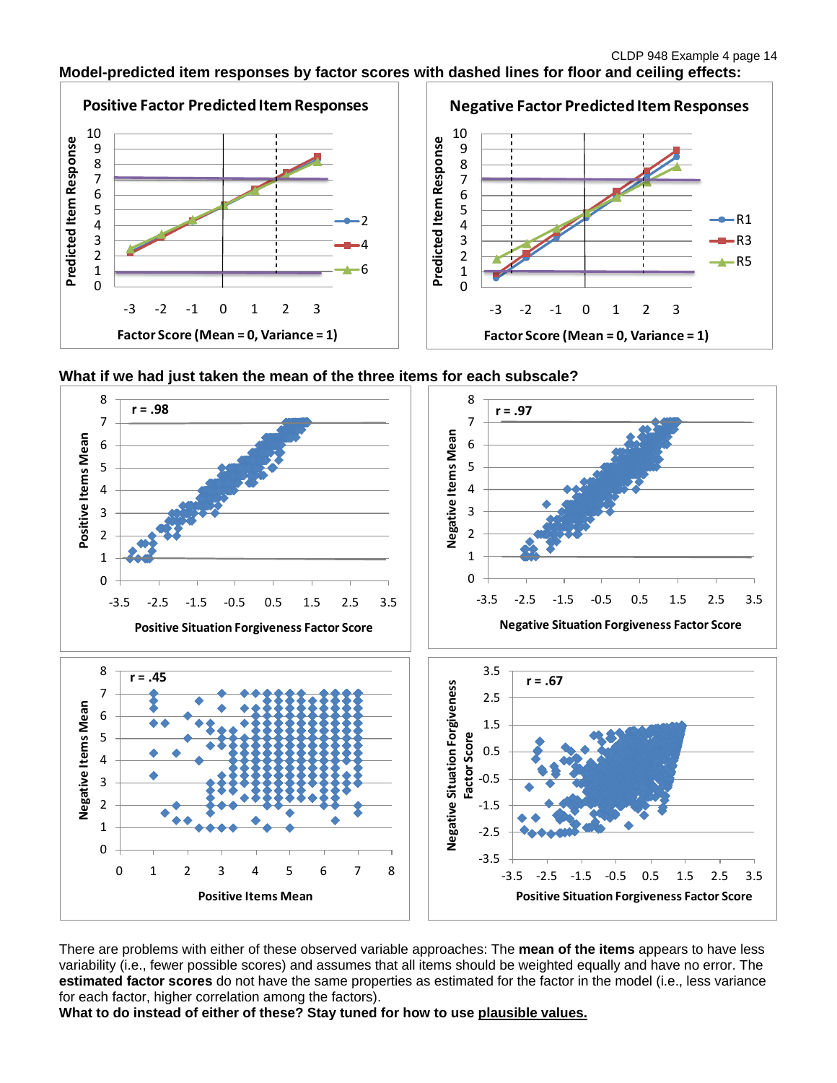## **Model-predicted item responses by factor scores with dashed lines for floor and ceiling effects:**







There are problems with either of these observed variable approaches: The **mean of the items** appears to have less variability (i.e., fewer possible scores) and assumes that all items should be weighted equally and have no error. The **estimated factor scores** do not have the same properties as estimated for the factor in the model (i.e., less variance for each factor, higher correlation among the factors).

**What to do instead of either of these? Stay tuned for how to use plausible values.**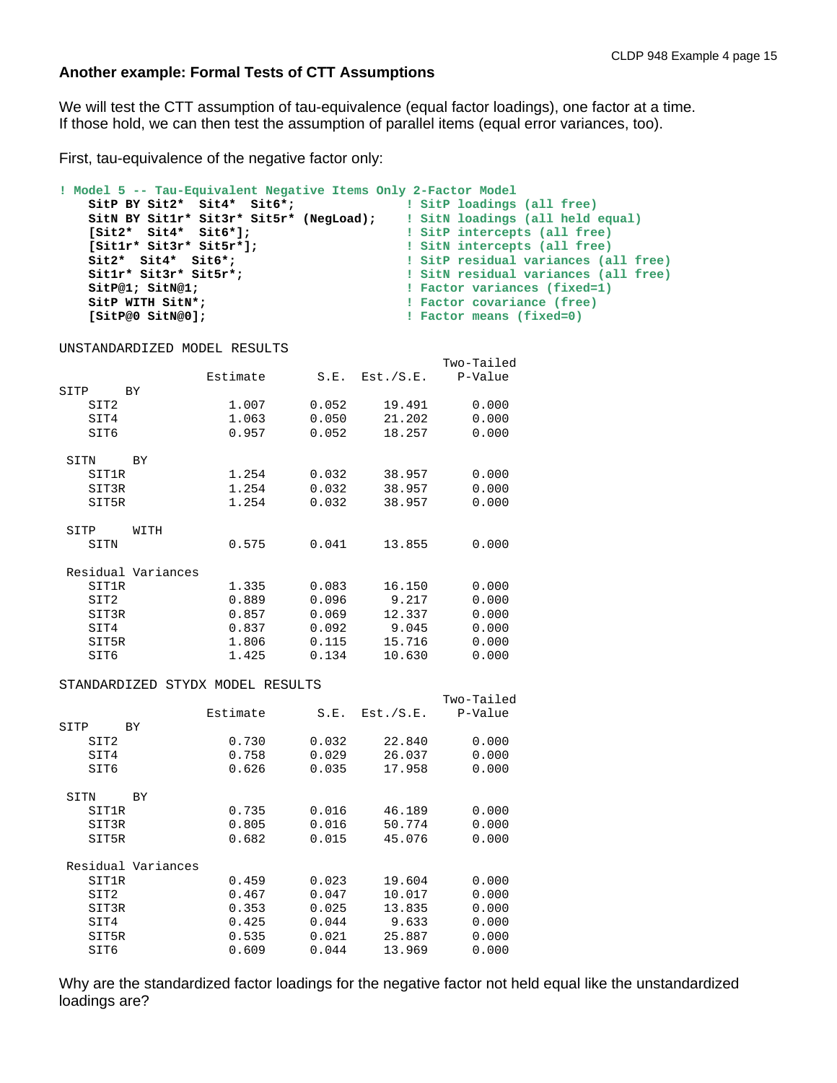### **Another example: Formal Tests of CTT Assumptions**

We will test the CTT assumption of tau-equivalence (equal factor loadings), one factor at a time. If those hold, we can then test the assumption of parallel items (equal error variances, too).

First, tau-equivalence of the negative factor only:

```
! Model 5 -- Tau-Equivalent Negative Items Only 2-Factor Model
     SitP BY Sit2* Sit4* Sit6*; ! SitP loadings (all free)
     SitN BY Sit1r* Sit3r* Sit5r* (NegLoad); ! SitN loadings (all held equal)
 [Sit2* Sit4* Sit6*]; ! SitP intercepts (all free)
 [Sit1r* Sit3r* Sit5r*]; ! SitN intercepts (all free)
 Sit2* Sit4* Sit6*; ! SitP residual variances (all free)
 Sit1r* Sit3r* Sit5r*; ! SitN residual variances (all free)
SitP@1; SitN@1; The set of the set of the set of the set of the set of the set of the set of the set of the set of the set of the set of the set of the set of the set of the set of the set of the set of the set of the se
SitP WITH SitN*; The subset of the set of the set of the set of the set of the set of the set of the set of the set of the set of the set of the set of the set of the set of the set of the set of the set of the set of th
 [SitP@0 SitN@0]; ! Factor means (fixed=0)
```
UNSTANDARDIZED MODEL RESULTS

|       |                    |          |       |           | Two-Tailed |
|-------|--------------------|----------|-------|-----------|------------|
|       |                    | Estimate | S.E.  | Est./S.E. | P-Value    |
| SITP  | BY                 |          |       |           |            |
| SIT2  |                    | 1.007    | 0.052 | 19.491    | 0.000      |
| SIT4  |                    | 1.063    | 0.050 | 21.202    | 0.000      |
| SIT6  |                    | 0.957    | 0.052 | 18.257    | 0.000      |
| SITN  | BY                 |          |       |           |            |
| SIT1R |                    | 1.254    | 0.032 | 38.957    | 0.000      |
| SIT3R |                    | 1.254    | 0.032 | 38.957    | 0.000      |
| SIT5R |                    | 1.254    | 0.032 | 38.957    | 0.000      |
| SITP  | WITH               |          |       |           |            |
| SITN  |                    | 0.575    | 0.041 | 13.855    | 0.000      |
|       | Residual Variances |          |       |           |            |
| SIT1R |                    | 1.335    | 0.083 | 16.150    | 0.000      |
| SIT2  |                    | 0.889    | 0.096 | 9.217     | 0.000      |
| SIT3R |                    | 0.857    | 0.069 | 12.337    | 0.000      |
| SIT4  |                    | 0.837    | 0.092 | 9.045     | 0.000      |
| SIT5R |                    | 1.806    | 0.115 | 15.716    | 0.000      |
| SIT6  |                    | 1.425    | 0.134 | 10.630    | 0.000      |
|       |                    |          |       |           |            |

#### STANDARDIZED STYDX MODEL RESULTS

|                    |          |       |           | Two-Tailed |
|--------------------|----------|-------|-----------|------------|
|                    | Estimate | S.E.  | Est./S.E. | P-Value    |
| SITP<br>ВY         |          |       |           |            |
| SIT2               | 0.730    | 0.032 | 22.840    | 0.000      |
| SIT4               | 0.758    | 0.029 | 26.037    | 0.000      |
| SIT6               | 0.626    | 0.035 | 17.958    | 0.000      |
| SITN<br><b>BY</b>  |          |       |           |            |
| SIT1R              | 0.735    | 0.016 | 46.189    | 0.000      |
| SIT3R              | 0.805    | 0.016 | 50.774    | 0.000      |
| SIT5R              | 0.682    | 0.015 | 45.076    | 0.000      |
| Residual Variances |          |       |           |            |
| SIT1R              | 0.459    | 0.023 | 19.604    | 0.000      |
| SIT2               | 0.467    | 0.047 | 10.017    | 0.000      |
| SIT3R              | 0.353    | 0.025 | 13.835    | 0.000      |
| SIT4               | 0.425    | 0.044 | 9.633     | 0.000      |
| SIT5R              | 0.535    | 0.021 | 25.887    | 0.000      |
| SIT6               | 0.609    | 0.044 | 13.969    | 0.000      |
|                    |          |       |           |            |

Why are the standardized factor loadings for the negative factor not held equal like the unstandardized loadings are?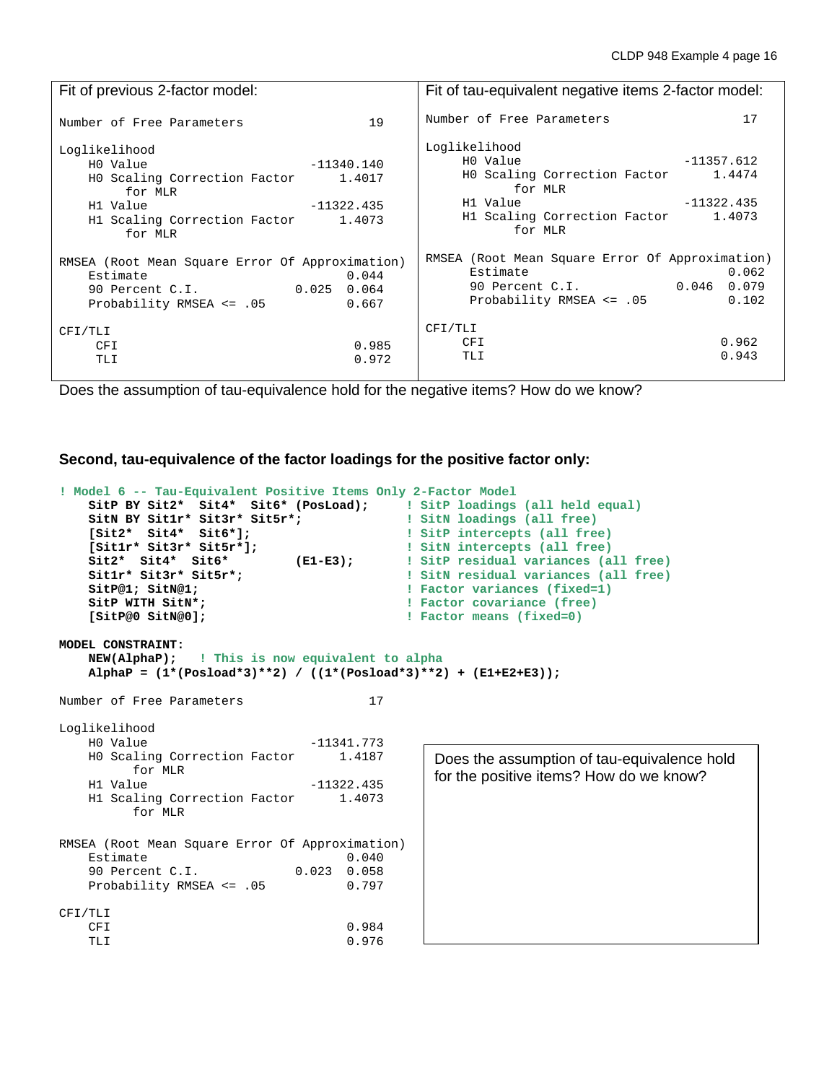| Fit of previous 2-factor model:                                  | Fit of tau-equivalent negative items 2-factor model: |  |  |
|------------------------------------------------------------------|------------------------------------------------------|--|--|
| 19                                                               | 17                                                   |  |  |
| Number of Free Parameters                                        | Number of Free Parameters                            |  |  |
| Loglikelihood                                                    | Loglikelihood                                        |  |  |
| $-11340.140$                                                     | HO Value                                             |  |  |
| HO Value                                                         | $-11357.612$                                         |  |  |
| HO Scaling Correction Factor 1.4017                              | HO Scaling Correction Factor 1.4474                  |  |  |
| for MLR                                                          | for MLR                                              |  |  |
| $-11322.435$                                                     | H1 Value                                             |  |  |
| H1 Value                                                         | -11322.435                                           |  |  |
| H1 Scaling Correction Factor 1.4073<br>for MLR                   | H1 Scaling Correction Factor<br>1.4073<br>for MLR    |  |  |
| RMSEA (Root Mean Square Error Of Approximation)                  | RMSEA (Root Mean Square Error Of Approximation)      |  |  |
| Estimate<br>0.044                                                | Estimate<br>0.062<br>90 Percent C.I. 0.046 0.079     |  |  |
| 90 Percent C.I. 0.025 0.064<br>Probability RMSEA <= .05<br>0.667 | Probability RMSEA <= .05<br>0.102                    |  |  |
| CFI/TLI                                                          | CFI/TLI                                              |  |  |
| 0.985                                                            | 0.962                                                |  |  |
| <b>CFI</b>                                                       | CFI                                                  |  |  |
| 0.972                                                            | 0.943                                                |  |  |
| TLI                                                              | TLI                                                  |  |  |

Does the assumption of tau-equivalence hold for the negative items? How do we know?

**Second, tau-equivalence of the factor loadings for the positive factor only:**

```
! Model 6 -- Tau-Equivalent Positive Items Only 2-Factor Model
    SitP BY Sit2* Sit4* Sit6* (PosLoad); <br>1 SitN BY Sit1r* Sit3r* Sit5r*; <br>1 SitN loadings (all free)
    SitN BY Sit1r* Sit3r* Sit5r*;<br>[Sit2* Sit4* Sit6*];
     [Sit2* Sit4* Sit6*]; ! SitP intercepts (all free)
     [Sit1r* Sit3r* Sit5r*]; ! SitN intercepts (all free)
    Sit2* Sit4* Sit6* (E1-E3); <br>
Sit1r* Sit3r* Sit5r*; <br>
sitN residual variances (all free)<br>
sitN residual variances (all free)
    Sit1r* Sit3r* Sit5r*; \qquad \qquad ! SitN residual variances (all free)<br>SitP@1; SitN@1; \qquad \qquad ! Factor variances (fixed=1)
    SitP@1; SitN@1; The set of the set of the set of the set of the set of the set of the set of the set of the set of the set of the set of the set of the set of the set of the set of the set of the set of the set of the se
    SitP WITH SitN*;<br>
SitP@0 SitN@0];<br>
SitP@0 SitN@0];<br>
BitP@0 SitN@0];<br>
BitP
                                                       ! Factor means (fixed=0)
MODEL CONSTRAINT: 
                     ! This is now equivalent to alpha
     AlphaP = (1*(Posload*3)**2) / ((1*(Posload*3)**2) + (E1+E2+E3));
Number of Free Parameters 17
Loglikelihood<br>H0 Value
                                        1.341.773<br>1.4187
    H0 Scaling Correction Factor
    for MLR<br>H1 Value
                                        11322.435<br>1.4073
    H1 Scaling Correction Factor
            for MLR
RMSEA (Root Mean Square Error Of Approximation)
    Estimate 0.040<br>90 Percent C.I. 0.023 0.058
     90 Percent C.I. 0.023 0.058
    Probability RMSEA <= .05
CFI/TLI
CFI 0.984
 TLI 0.976
                                                             Does the assumption of tau-equivalence hold 
                                                            for the positive items? How do we know?
```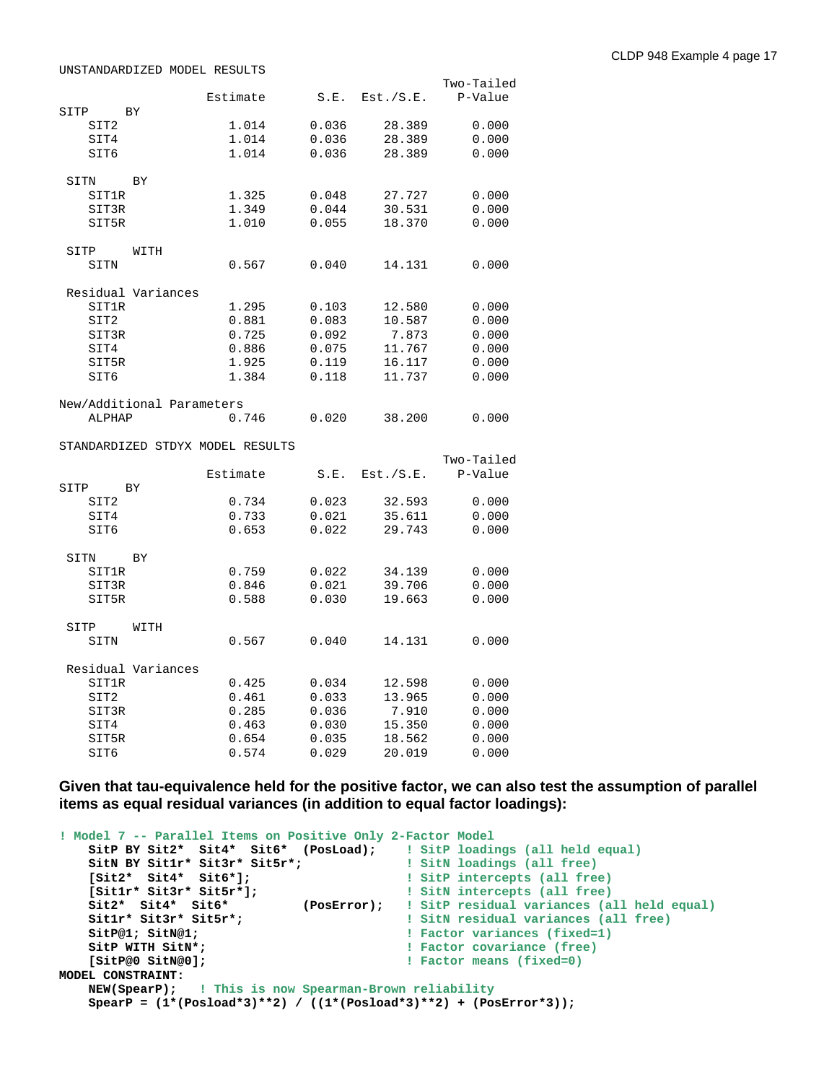UNSTANDARDIZED MODEL RESULTS

|              |                           | Estimate                         | S.E.  | Est./S.E. | Two-Tailed<br>P-Value |
|--------------|---------------------------|----------------------------------|-------|-----------|-----------------------|
| SITP         | ΒY                        |                                  |       |           |                       |
| SIT2         |                           | 1.014                            | 0.036 | 28.389    | 0.000                 |
| SIT4         |                           | 1.014                            | 0.036 | 28.389    | 0.000                 |
| SIT6         |                           | 1.014                            | 0.036 | 28.389    | 0.000                 |
| SITN         | BY                        |                                  |       |           |                       |
| SIT1R        |                           | 1.325                            | 0.048 | 27.727    | 0.000                 |
| SIT3R        |                           | 1.349                            | 0.044 | 30.531    | 0.000                 |
| SIT5R        |                           | 1.010                            | 0.055 | 18.370    | 0.000                 |
| SITP         | WITH                      |                                  |       |           |                       |
| SITN         |                           | 0.567                            | 0.040 | 14.131    | 0.000                 |
|              | Residual Variances        |                                  |       |           |                       |
| <b>SIT1R</b> |                           | 1.295                            | 0.103 | 12.580    | 0.000                 |
| SIT2         |                           | 0.881                            | 0.083 | 10.587    | 0.000                 |
| SIT3R        |                           | 0.725                            | 0.092 | 7.873     | 0.000                 |
| SIT4         |                           | 0.886                            | 0.075 | 11.767    | 0.000                 |
| SIT5R        |                           | 1.925                            | 0.119 | 16.117    | 0.000                 |
| SIT6         |                           | 1.384                            | 0.118 | 11.737    | 0.000                 |
|              | New/Additional Parameters |                                  |       |           |                       |
| ALPHAP       |                           | 0.746                            | 0.020 | 38.200    | 0.000                 |
|              |                           | STANDARDIZED STDYX MODEL RESULTS |       |           |                       |
|              |                           |                                  |       |           | Two-Tailed            |
|              |                           | Estimate                         | S.E.  | Est./S.E. | P-Value               |
| SITP         | BY                        |                                  |       |           |                       |
| SIT2         |                           | 0.734                            | 0.023 | 32.593    | 0.000                 |
| SIT4         |                           | 0.733                            | 0.021 | 35.611    | 0.000                 |
| SIT6         |                           | 0.653                            | 0.022 | 29.743    | 0.000                 |
| SITN         | BY                        |                                  |       |           |                       |
| <b>SIT1R</b> |                           | 0.759                            | 0.022 | 34.139    | 0.000                 |
| SIT3R        |                           | 0.846                            | 0.021 | 39.706    | 0.000                 |
| SIT5R        |                           | 0.588                            | 0.030 | 19.663    | 0.000                 |
| SITP         | WITH                      |                                  |       |           |                       |
| SITN         |                           | 0.567                            | 0.040 | 14.131    | 0.000                 |
|              | Residual Variances        |                                  |       |           |                       |
| SIT1R        |                           | 0.425                            | 0.034 | 12.598    | 0.000                 |
| SIT2         |                           | 0.461                            | 0.033 | 13.965    | 0.000                 |
| SIT3R        |                           | 0.285                            | 0.036 | 7.910     | 0.000                 |
| SIT4         |                           | 0.463                            | 0.030 | 15.350    | 0.000                 |
| SIT5R        |                           | 0.654                            | 0.035 | 18.562    | 0.000                 |
| SIT6         |                           | 0.574                            | 0.029 | 20.019    | 0.000                 |

**Given that tau-equivalence held for the positive factor, we can also test the assumption of parallel items as equal residual variances (in addition to equal factor loadings):**

```
! Model 7 -- Parallel Items on Positive Only 2-Factor Model
    SitP BY Sit2* Sit4* Sit6* (PosLoad); I SitP loadings (all held equal)<br>SitN BY Sit1r* Sit3r* Sit5r*; I SitN loadings (all free)
 SitN BY Sit1r* Sit3r* Sit5r*; ! SitN loadings (all free)
 [Sit2* Sit4* Sit6*]; ! SitP intercepts (all free)
 [Sit1r* Sit3r* Sit5r*]; ! SitN intercepts (all free) 
 Sit2* Sit4* Sit6* (PosError); ! SitP residual variances (all held equal)
 Sit1r* Sit3r* Sit5r*; ! SitN residual variances (all free)
    SitP@1; SitN@1; The state of the state of the state of the state of the state of the state of the state of the state of the state of the state of the state of the state of the state of the state of the state of the state
    SitP WITH SitN*;<br>
SitP@0 SitN@0];<br>
SitP@0 SitN@0];<br>
B Tactor means (fixed=0)
                                                     ! Factor means (fixed=0)
MODEL CONSTRAINT: 
     NEW(SpearP); ! This is now Spearman-Brown reliability
     SpearP = (1*(Posload*3)**2) / ((1*(Posload*3)**2) + (PosError*3));
```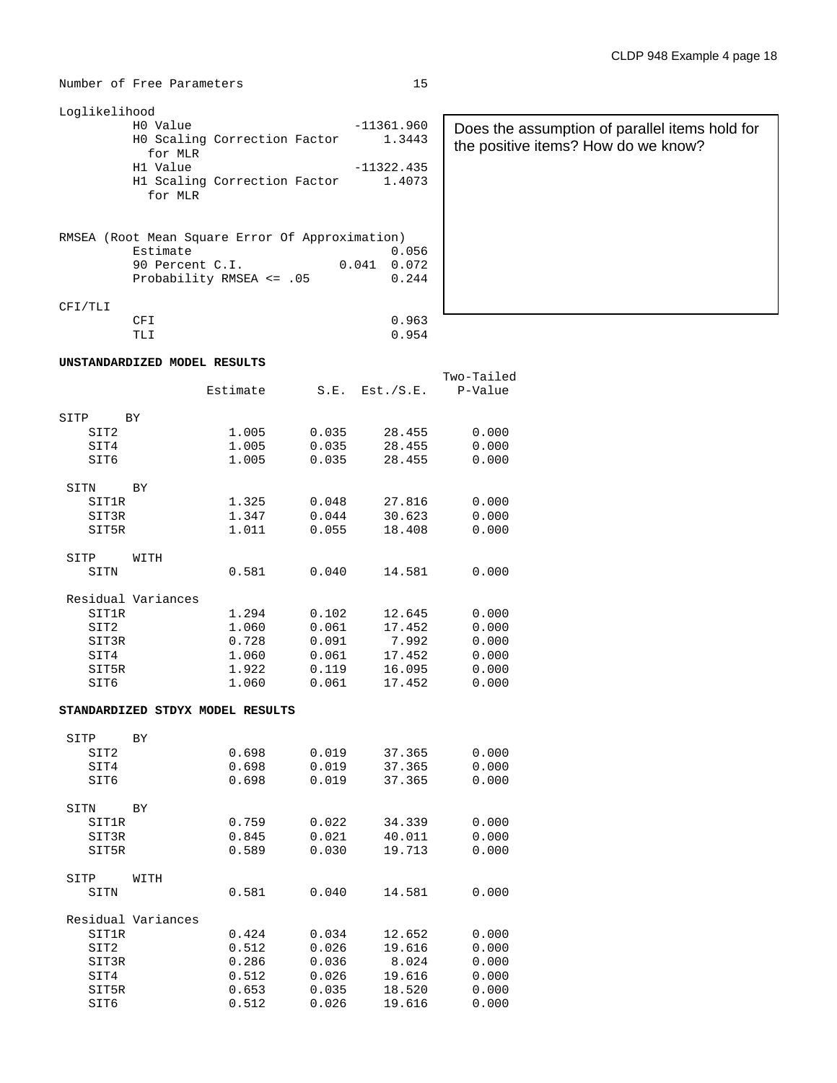**UNSTANDARDIZED MODEL RESULTS**

| Loglikelihood                |              |
|------------------------------|--------------|
| HO Value                     | $-11361.960$ |
| HO Scaling Correction Factor | 1.3443       |
| for MLR                      |              |
| H1 Value                     | $-11322.435$ |
| H1 Scaling Correction Factor | 1.4073       |
| for MLR                      |              |
|                              |              |

|         | RMSEA (Root Mean Square Error Of Approximation) |               |
|---------|-------------------------------------------------|---------------|
|         | Estimate                                        | 0.056         |
|         | 90 Percent C.I.                                 | $0.041$ 0.072 |
|         | Probability RMSEA $\leq$ .05                    | 0.244         |
| CFI/TLI |                                                 |               |
|         | CFI                                             | 0.963         |
|         | TT.T                                            | 0.954         |

| 11361.960<br>1.3443                     | Does the assumption of parallel items hold for<br>the positive items? How do we know? |
|-----------------------------------------|---------------------------------------------------------------------------------------|
| 11322.435<br>1.4073                     |                                                                                       |
| ation)<br>0.056<br>41<br>0.072<br>0.244 |                                                                                       |
|                                         |                                                                                       |

|                                                                    |                    | Estimate                                           | S.E.                                               | Est./S.E.                                               | Two-Tailed<br>P-Value                              |
|--------------------------------------------------------------------|--------------------|----------------------------------------------------|----------------------------------------------------|---------------------------------------------------------|----------------------------------------------------|
| SITP<br>SIT <sub>2</sub><br>SIT4<br>SIT6                           | <b>BY</b>          | 1.005<br>1.005<br>1.005                            | 0.035<br>0.035<br>0.035                            | 28.455<br>28.455<br>28.455                              | 0.000<br>0.000<br>0.000                            |
| SITN<br>SIT1R<br>SIT3R<br>SIT5R                                    | <b>BY</b>          | 1.325<br>1.347<br>1.011                            | 0.048<br>0.044<br>0.055                            | 27.816<br>30.623<br>18.408                              | 0.000<br>0.000<br>0.000                            |
| SITP<br>SITN                                                       | WITH               | 0.581                                              | 0.040                                              | 14.581                                                  | 0.000                                              |
| <b>SIT1R</b><br>SIT <sub>2</sub><br>SIT3R<br>SIT4<br>SIT5R<br>SIT6 | Residual Variances | 1.294<br>1.060<br>0.728<br>1.060<br>1.922<br>1.060 | 0.102<br>0.061<br>0.091<br>0.061<br>0.119<br>0.061 | 12.645<br>17.452<br>7.992<br>17.452<br>16.095<br>17.452 | 0.000<br>0.000<br>0.000<br>0.000<br>0.000<br>0.000 |

### **STANDARDIZED STDYX MODEL RESULTS**

| SITP  | ВY                 |       |       |        |       |
|-------|--------------------|-------|-------|--------|-------|
| SIT2  |                    | 0.698 | 0.019 | 37.365 | 0.000 |
| SIT4  |                    | 0.698 | 0.019 | 37.365 | 0.000 |
| SIT6  |                    | 0.698 | 0.019 | 37.365 | 0.000 |
| SITN  | ВY                 |       |       |        |       |
| SIT1R |                    | 0.759 | 0.022 | 34.339 | 0.000 |
|       |                    |       |       |        |       |
| SIT3R |                    | 0.845 | 0.021 | 40.011 | 0.000 |
| SIT5R |                    | 0.589 | 0.030 | 19.713 | 0.000 |
| SITP  | WITH               |       |       |        |       |
| SITN  |                    | 0.581 | 0.040 | 14.581 | 0.000 |
|       | Residual Variances |       |       |        |       |
| SIT1R |                    | 0.424 | 0.034 | 12.652 | 0.000 |
|       |                    |       |       |        |       |
| SIT2  |                    | 0.512 | 0.026 | 19.616 | 0.000 |
| SIT3R |                    | 0.286 | 0.036 | 8.024  | 0.000 |
| SIT4  |                    | 0.512 | 0.026 | 19.616 | 0.000 |
| SIT5R |                    | 0.653 | 0.035 | 18.520 | 0.000 |
| SIT6  |                    | 0.512 | 0.026 | 19.616 | 0.000 |
|       |                    |       |       |        |       |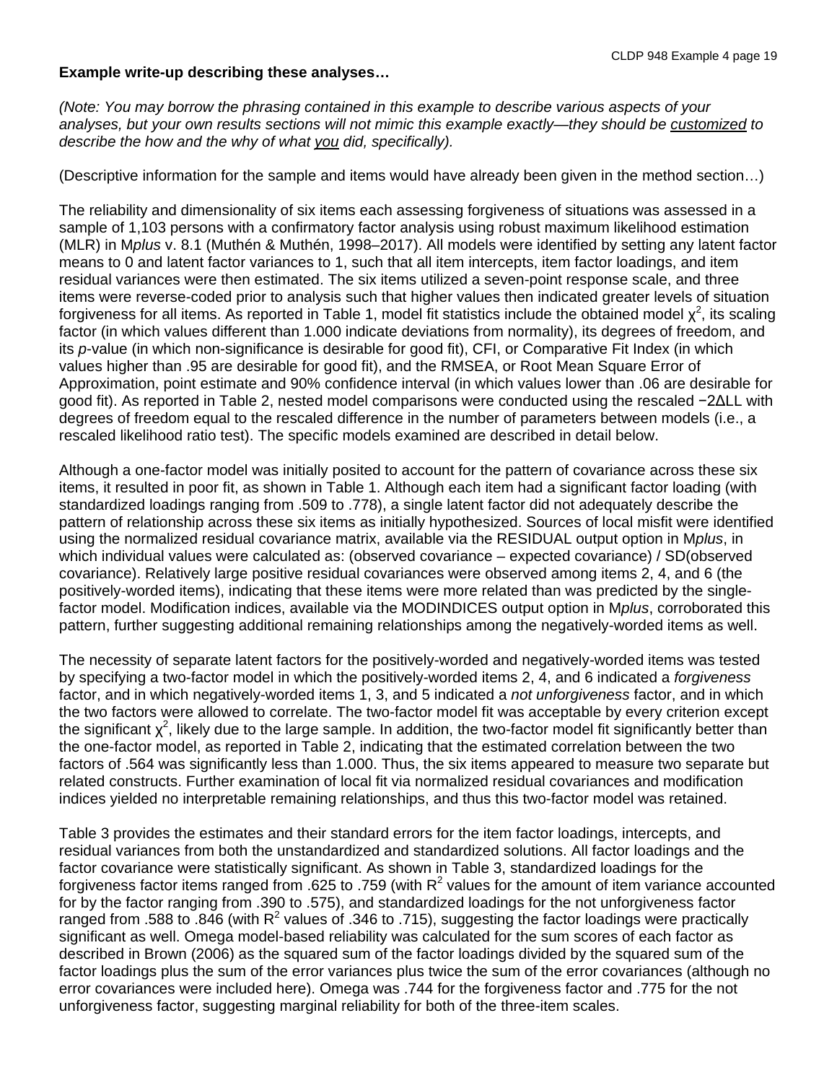## **Example write-up describing these analyses…**

*(Note: You may borrow the phrasing contained in this example to describe various aspects of your analyses, but your own results sections will not mimic this example exactly—they should be customized to describe the how and the why of what you did, specifically).*

(Descriptive information for the sample and items would have already been given in the method section…)

The reliability and dimensionality of six items each assessing forgiveness of situations was assessed in a sample of 1,103 persons with a confirmatory factor analysis using robust maximum likelihood estimation (MLR) in M*plus* v. 8.1 (Muthén & Muthén, 1998–2017). All models were identified by setting any latent factor means to 0 and latent factor variances to 1, such that all item intercepts, item factor loadings, and item residual variances were then estimated. The six items utilized a seven-point response scale, and three items were reverse-coded prior to analysis such that higher values then indicated greater levels of situation forgiveness for all items. As reported in Table 1, model fit statistics include the obtained model  $\chi^2$ , its scaling factor (in which values different than 1.000 indicate deviations from normality), its degrees of freedom, and its *p*-value (in which non-significance is desirable for good fit), CFI, or Comparative Fit Index (in which values higher than .95 are desirable for good fit), and the RMSEA, or Root Mean Square Error of Approximation, point estimate and 90% confidence interval (in which values lower than .06 are desirable for good fit). As reported in Table 2, nested model comparisons were conducted using the rescaled −2ΔLL with degrees of freedom equal to the rescaled difference in the number of parameters between models (i.e., a rescaled likelihood ratio test). The specific models examined are described in detail below.

Although a one-factor model was initially posited to account for the pattern of covariance across these six items, it resulted in poor fit, as shown in Table 1. Although each item had a significant factor loading (with standardized loadings ranging from .509 to .778), a single latent factor did not adequately describe the pattern of relationship across these six items as initially hypothesized. Sources of local misfit were identified using the normalized residual covariance matrix, available via the RESIDUAL output option in M*plus*, in which individual values were calculated as: (observed covariance – expected covariance) / SD(observed covariance). Relatively large positive residual covariances were observed among items 2, 4, and 6 (the positively-worded items), indicating that these items were more related than was predicted by the singlefactor model. Modification indices, available via the MODINDICES output option in M*plus*, corroborated this pattern, further suggesting additional remaining relationships among the negatively-worded items as well.

The necessity of separate latent factors for the positively-worded and negatively-worded items was tested by specifying a two-factor model in which the positively-worded items 2, 4, and 6 indicated a *forgiveness* factor, and in which negatively-worded items 1, 3, and 5 indicated a *not unforgiveness* factor, and in which the two factors were allowed to correlate. The two-factor model fit was acceptable by every criterion except the significant  $\chi^2$ , likely due to the large sample. In addition, the two-factor model fit significantly better than the one-factor model, as reported in Table 2, indicating that the estimated correlation between the two factors of .564 was significantly less than 1.000. Thus, the six items appeared to measure two separate but related constructs. Further examination of local fit via normalized residual covariances and modification indices yielded no interpretable remaining relationships, and thus this two-factor model was retained.

Table 3 provides the estimates and their standard errors for the item factor loadings, intercepts, and residual variances from both the unstandardized and standardized solutions. All factor loadings and the factor covariance were statistically significant. As shown in Table 3, standardized loadings for the forgiveness factor items ranged from .625 to .759 (with  $R^2$  values for the amount of item variance accounted for by the factor ranging from .390 to .575), and standardized loadings for the not unforgiveness factor ranged from .588 to .846 (with  $R^2$  values of .346 to .715), suggesting the factor loadings were practically significant as well. Omega model-based reliability was calculated for the sum scores of each factor as described in Brown (2006) as the squared sum of the factor loadings divided by the squared sum of the factor loadings plus the sum of the error variances plus twice the sum of the error covariances (although no error covariances were included here). Omega was .744 for the forgiveness factor and .775 for the not unforgiveness factor, suggesting marginal reliability for both of the three-item scales.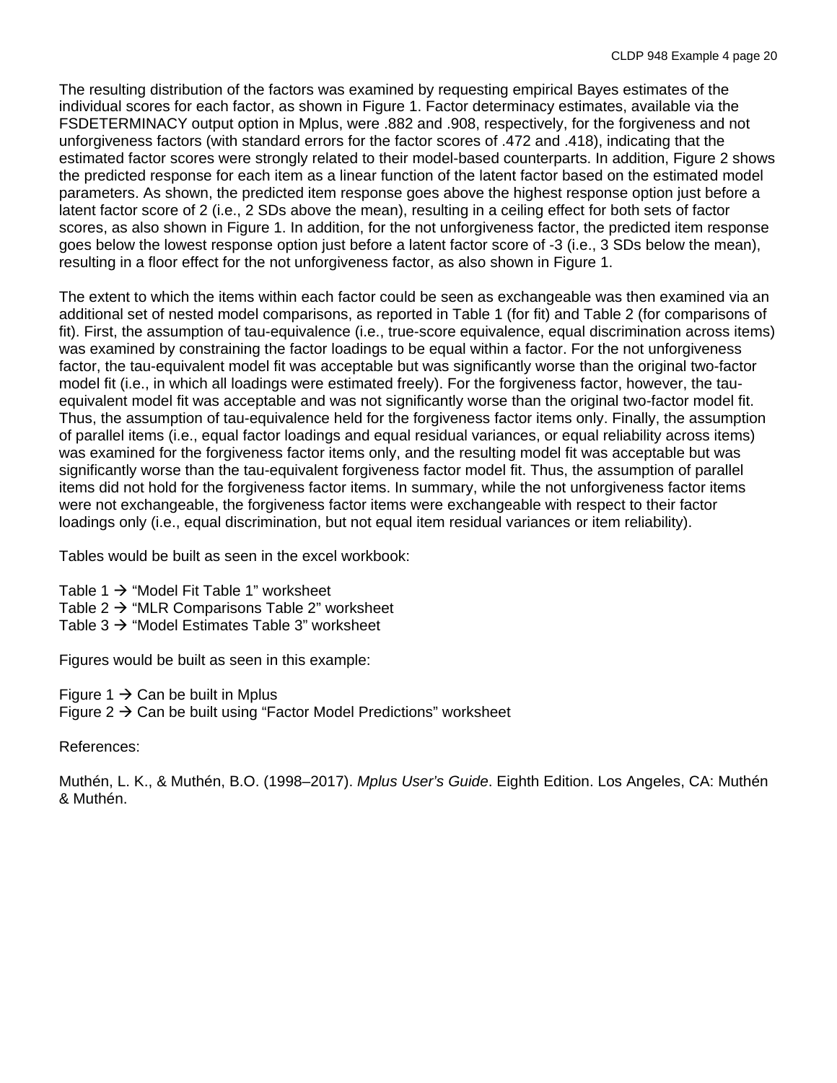The resulting distribution of the factors was examined by requesting empirical Bayes estimates of the individual scores for each factor, as shown in Figure 1. Factor determinacy estimates, available via the FSDETERMINACY output option in Mplus, were .882 and .908, respectively, for the forgiveness and not unforgiveness factors (with standard errors for the factor scores of .472 and .418), indicating that the estimated factor scores were strongly related to their model-based counterparts. In addition, Figure 2 shows the predicted response for each item as a linear function of the latent factor based on the estimated model parameters. As shown, the predicted item response goes above the highest response option just before a latent factor score of 2 (i.e., 2 SDs above the mean), resulting in a ceiling effect for both sets of factor scores, as also shown in Figure 1. In addition, for the not unforgiveness factor, the predicted item response goes below the lowest response option just before a latent factor score of -3 (i.e., 3 SDs below the mean), resulting in a floor effect for the not unforgiveness factor, as also shown in Figure 1.

The extent to which the items within each factor could be seen as exchangeable was then examined via an additional set of nested model comparisons, as reported in Table 1 (for fit) and Table 2 (for comparisons of fit). First, the assumption of tau-equivalence (i.e., true-score equivalence, equal discrimination across items) was examined by constraining the factor loadings to be equal within a factor. For the not unforgiveness factor, the tau-equivalent model fit was acceptable but was significantly worse than the original two-factor model fit (i.e., in which all loadings were estimated freely). For the forgiveness factor, however, the tauequivalent model fit was acceptable and was not significantly worse than the original two-factor model fit. Thus, the assumption of tau-equivalence held for the forgiveness factor items only. Finally, the assumption of parallel items (i.e., equal factor loadings and equal residual variances, or equal reliability across items) was examined for the forgiveness factor items only, and the resulting model fit was acceptable but was significantly worse than the tau-equivalent forgiveness factor model fit. Thus, the assumption of parallel items did not hold for the forgiveness factor items. In summary, while the not unforgiveness factor items were not exchangeable, the forgiveness factor items were exchangeable with respect to their factor loadings only (i.e., equal discrimination, but not equal item residual variances or item reliability).

Tables would be built as seen in the excel workbook:

Table 1  $\rightarrow$  "Model Fit Table 1" worksheet Table 2  $\rightarrow$  "MLR Comparisons Table 2" worksheet Table 3  $\rightarrow$  "Model Estimates Table 3" worksheet

Figures would be built as seen in this example:

Figure 1  $\rightarrow$  Can be built in Mplus Figure  $2 \rightarrow$  Can be built using "Factor Model Predictions" worksheet

References:

Muthén, L. K., & Muthén, B.O. (1998–2017). *Mplus User's Guide*. Eighth Edition. Los Angeles, CA: Muthén & Muthén.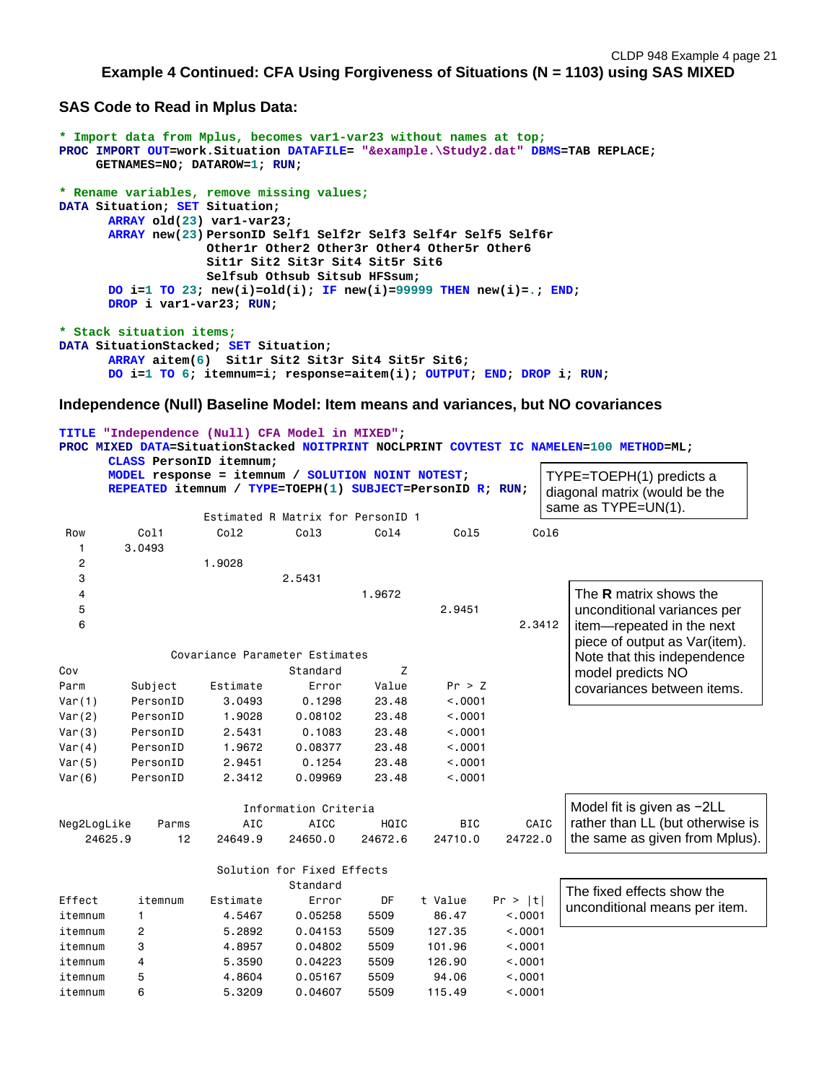```
Example 4 Continued: CFA Using Forgiveness of Situations (N = 1103) using SAS MIXED
```
**SAS Code to Read in Mplus Data:**

```
* Import data from Mplus, becomes var1-var23 without names at top;
PROC IMPORT OUT=work.Situation DATAFILE= "&example.\Study2.dat" DBMS=TAB REPLACE;
      GETNAMES=NO; DATAROW=1; RUN;
* Rename variables, remove missing values;
DATA Situation; SET Situation;
      ARRAY old(23) var1-var23;
      ARRAY new(23) PersonID Self1 Self2r Self3 Self4r Self5 Self6r
                     Other1r Other2 Other3r Other4 Other5r Other6
                    Sit1r Sit2 Sit3r Sit4 Sit5r Sit6
                    Selfsub Othsub Sitsub HFSsum;
      DO i=1 TO 23; new(i)=old(i); IF new(i)=99999 THEN new(i)=.; END;
      DROP i var1-var23; RUN;
* Stack situation items;
DATA SituationStacked; SET Situation;
      ARRAY aitem(6) Sit1r Sit2 Sit3r Sit4 Sit5r Sit6;
      DO i=1 TO 6; itemnum=i; response=aitem(i); OUTPUT; END; DROP i; RUN;
```
**Independence (Null) Baseline Model: Item means and variances, but NO covariances**

|             |                | TITLE "Independence (Null) CFA Model in MIXED";<br>CLASS PersonID itemnum:                                     |                                   |         |            |         | PROC MIXED DATA=SituationStacked NOITPRINT NOCLPRINT COVTEST IC NAMELEN=100 METHOD=ML; |
|-------------|----------------|----------------------------------------------------------------------------------------------------------------|-----------------------------------|---------|------------|---------|----------------------------------------------------------------------------------------|
|             |                | MODEL response = itemnum / SOLUTION NOINT NOTEST;<br>REPEATED itemnum / TYPE=TOEPH(1) SUBJECT=PersonID R; RUN; |                                   |         |            |         | TYPE=TOEPH(1) predicts a<br>diagonal matrix (would be the<br>same as TYPE=UN(1).       |
|             |                |                                                                                                                | Estimated R Matrix for PersonID 1 |         |            |         |                                                                                        |
| Row         | Col1           | Co12                                                                                                           | Col <sub>3</sub>                  | Col4    | Co15       | Col6    |                                                                                        |
| 1           | 3.0493         |                                                                                                                |                                   |         |            |         |                                                                                        |
| 2           |                | 1.9028                                                                                                         |                                   |         |            |         |                                                                                        |
| 3           |                |                                                                                                                | 2.5431                            |         |            |         |                                                                                        |
| 4           |                |                                                                                                                |                                   | 1.9672  |            |         | The <b>R</b> matrix shows the                                                          |
| 5           |                |                                                                                                                |                                   |         | 2.9451     |         | unconditional variances per                                                            |
| 6           |                |                                                                                                                |                                   |         |            | 2.3412  | item-repeated in the next<br>piece of output as Var(item).                             |
|             |                | Covariance Parameter Estimates                                                                                 |                                   |         |            |         | Note that this independence                                                            |
| Cov         |                |                                                                                                                | Standard                          | Z       |            |         | model predicts NO                                                                      |
| Parm        | Subject        | Estimate                                                                                                       | Error                             | Value   | Pr > Z     |         | covariances between items.                                                             |
| Var(1)      | PersonID       | 3.0493                                                                                                         | 0.1298                            | 23.48   | < .0001    |         |                                                                                        |
| Var(2)      | PersonID       | 1.9028                                                                                                         | 0.08102                           | 23.48   | < .0001    |         |                                                                                        |
| Var(3)      | PersonID       | 2.5431                                                                                                         | 0.1083                            | 23.48   | < .0001    |         |                                                                                        |
| Var(4)      | PersonID       | 1.9672                                                                                                         | 0.08377                           | 23.48   | < .0001    |         |                                                                                        |
| Var(5)      | PersonID       | 2.9451                                                                                                         | 0.1254                            | 23.48   | < .0001    |         |                                                                                        |
| Var(6)      | PersonID       | 2.3412                                                                                                         | 0.09969                           | 23.48   | < .0001    |         |                                                                                        |
|             |                |                                                                                                                | Information Criteria              |         |            |         | Model fit is given as -2LL                                                             |
| Neg2LogLike | Parms          | AIC                                                                                                            | <b>AICC</b>                       | HQIC    | <b>BIC</b> | CAIC    | rather than LL (but otherwise is                                                       |
| 24625.9     | 12             | 24649.9                                                                                                        | 24650.0                           | 24672.6 | 24710.0    | 24722.0 | the same as given from Mplus).                                                         |
|             |                |                                                                                                                | Solution for Fixed Effects        |         |            |         |                                                                                        |
|             |                |                                                                                                                | Standard                          |         |            |         | The fixed effects show the                                                             |
| Effect      | itemnum        | Estimate                                                                                                       | Error                             | DF      | t Value    | Pr >  t | unconditional means per item.                                                          |
| itemnum     | $\mathbf{1}$   | 4.5467                                                                                                         | 0.05258                           | 5509    | 86.47      | < .0001 |                                                                                        |
| itemnum     | $\overline{c}$ | 5.2892                                                                                                         | 0.04153                           | 5509    | 127.35     | < .0001 |                                                                                        |
| itemnum     | 3              | 4.8957                                                                                                         | 0.04802                           | 5509    | 101.96     | < .0001 |                                                                                        |
| itemnum     | $\overline{4}$ | 5.3590                                                                                                         | 0.04223                           | 5509    | 126.90     | < .0001 |                                                                                        |
| itemnum     | 5              | 4.8604                                                                                                         | 0.05167                           | 5509    | 94.06      | < 0001  |                                                                                        |
| itemnum     | 6              | 5.3209                                                                                                         | 0.04607                           | 5509    | 115.49     | < 0001  |                                                                                        |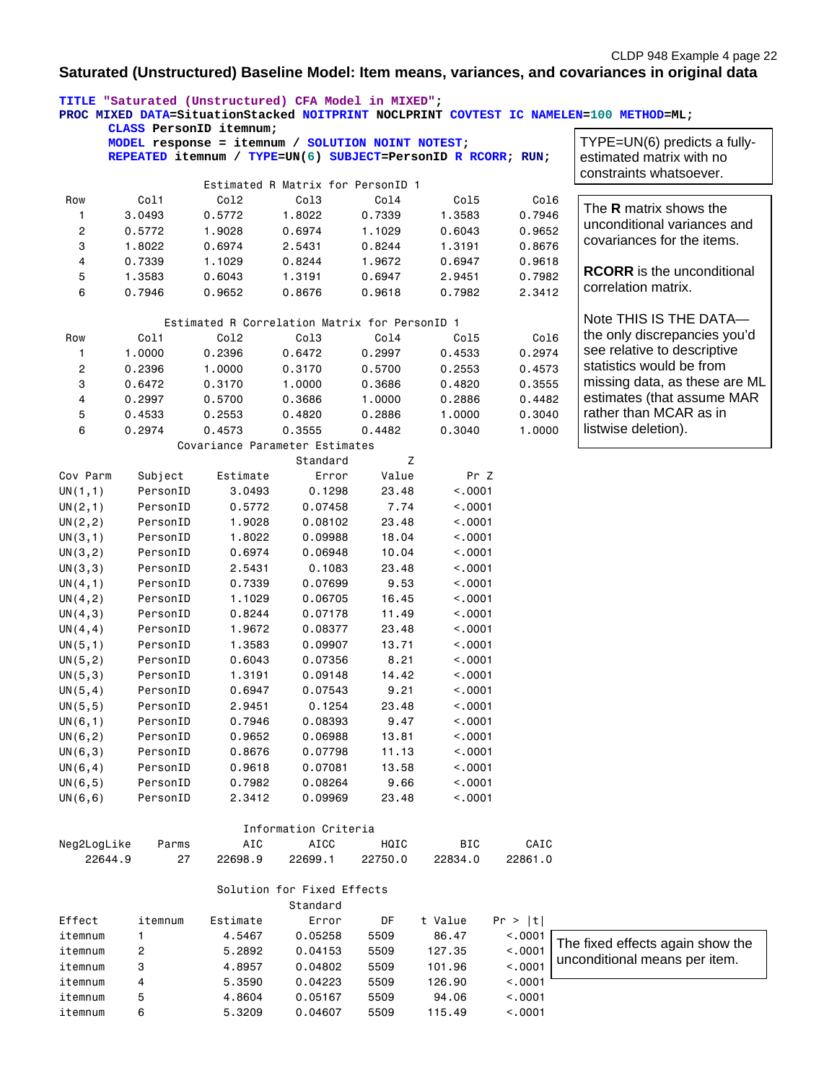## **Saturated (Unstructured) Baseline Model: Item means, variances, and covariances in original data**

|             | TITLE "Saturated (Unstructured) CFA Model in MIXED";<br>CLASS PersonID itemnum;                                   |                                               |                                        |         |              |         | PROC MIXED DATA=SituationStacked NOITPRINT NOCLPRINT COVTEST IC NAMELEN=100 METHOD=ML; |
|-------------|-------------------------------------------------------------------------------------------------------------------|-----------------------------------------------|----------------------------------------|---------|--------------|---------|----------------------------------------------------------------------------------------|
|             | MODEL response = itemnum / SOLUTION NOINT NOTEST;<br>REPEATED itemnum / TYPE=UN(6) SUBJECT=PersonID R RCORR; RUN; |                                               |                                        |         |              |         | TYPE=UN(6) predicts a fully-<br>estimated matrix with no<br>constraints whatsoever.    |
|             |                                                                                                                   |                                               | Estimated R Matrix for PersonID 1      |         |              |         |                                                                                        |
| Row         | Col1                                                                                                              | Co12                                          | Col3                                   | Col4    | Co15         | Co16    |                                                                                        |
| 1           | 3.0493                                                                                                            | 0.5772                                        | 1.8022                                 | 0.7339  | 1.3583       | 0.7946  | The <b>R</b> matrix shows the                                                          |
| 2           | 0.5772                                                                                                            | 1.9028                                        | 0.6974                                 | 1.1029  | 0.6043       | 0.9652  | unconditional variances and                                                            |
| 3           | 1.8022                                                                                                            | 0.6974                                        | 2.5431                                 | 0.8244  | 1.3191       | 0.8676  | covariances for the items.                                                             |
| 4           | 0.7339                                                                                                            | 1.1029                                        | 0.8244                                 | 1.9672  | 0.6947       | 0.9618  |                                                                                        |
| 5           | 1.3583                                                                                                            | 0.6043                                        | 1.3191                                 | 0.6947  | 2.9451       | 0.7982  | <b>RCORR</b> is the unconditional                                                      |
| 6           | 0.7946                                                                                                            | 0.9652                                        | 0.8676                                 | 0.9618  | 0.7982       | 2.3412  | correlation matrix.                                                                    |
|             |                                                                                                                   | Estimated R Correlation Matrix for PersonID 1 |                                        |         |              |         | Note THIS IS THE DATA-                                                                 |
| Row         | Col1                                                                                                              | Co12                                          | Co13                                   | Co14    | Co15         | Co16    | the only discrepancies you'd                                                           |
| 1           | 1.0000                                                                                                            | 0.2396                                        | 0.6472                                 | 0.2997  | 0.4533       | 0.2974  | see relative to descriptive                                                            |
| 2           | 0.2396                                                                                                            | 1.0000                                        | 0.3170                                 | 0.5700  | 0.2553       | 0.4573  | statistics would be from                                                               |
| 3           | 0.6472                                                                                                            | 0.3170                                        | 1.0000                                 | 0.3686  | 0.4820       | 0.3555  | missing data, as these are ML                                                          |
| 4           | 0.2997                                                                                                            | 0.5700                                        | 0.3686                                 | 1.0000  | 0.2886       | 0.4482  | estimates (that assume MAR                                                             |
| 5           | 0.4533                                                                                                            | 0.2553                                        | 0.4820                                 | 0.2886  | 1.0000       | 0.3040  | rather than MCAR as in                                                                 |
| 6           | 0.2974                                                                                                            | 0.4573                                        | 0.3555                                 | 0.4482  | 0.3040       | 1.0000  | listwise deletion).                                                                    |
|             |                                                                                                                   | Covariance Parameter Estimates                |                                        |         |              |         |                                                                                        |
|             |                                                                                                                   |                                               | Standard                               | Z       |              |         |                                                                                        |
| Cov Parm    | Subject                                                                                                           | Estimate                                      | Error                                  | Value   | Pr Z         |         |                                                                                        |
| UN(1,1)     | PersonID                                                                                                          | 3.0493                                        | 0.1298                                 | 23.48   | < .0001      |         |                                                                                        |
| UN(2,1)     | PersonID                                                                                                          | 0.5772                                        | 0.07458                                | 7.74    | < .0001      |         |                                                                                        |
| UN(2, 2)    | PersonID                                                                                                          | 1.9028                                        | 0.08102                                | 23.48   | < .0001      |         |                                                                                        |
| UN(3,1)     | PersonID                                                                                                          | 1.8022                                        | 0.09988                                | 18.04   | < .0001      |         |                                                                                        |
| UN(3, 2)    | PersonID                                                                                                          | 0.6974                                        | 0.06948                                | 10.04   | < .0001      |         |                                                                                        |
| UN(3,3)     | PersonID                                                                                                          | 2.5431                                        | 0.1083                                 | 23.48   | < .0001      |         |                                                                                        |
| UN(4,1)     | PersonID                                                                                                          | 0.7339                                        | 0.07699                                | 9.53    | < .0001      |         |                                                                                        |
| UN(4, 2)    | PersonID                                                                                                          | 1.1029                                        | 0.06705                                | 16.45   | < .0001      |         |                                                                                        |
| UN(4,3)     | PersonID                                                                                                          | 0.8244                                        | 0.07178                                | 11.49   | < .0001      |         |                                                                                        |
| UN(4, 4)    | PersonID                                                                                                          | 1.9672                                        | 0.08377                                | 23.48   | < .0001      |         |                                                                                        |
| UN(5,1)     | PersonID                                                                                                          | 1.3583                                        | 0.09907                                | 13.71   | < .0001      |         |                                                                                        |
| UN(5, 2)    | PersonID                                                                                                          | 0.6043                                        | 0.07356                                | 8.21    | < .0001      |         |                                                                                        |
| UN(5,3)     | PersonID                                                                                                          | 1.3191                                        | 0.09148                                | 14.42   | < .0001      |         |                                                                                        |
| UN(5, 4)    | PersonID                                                                                                          | 0.6947                                        | 0.07543                                | 9.21    | < .0001      |         |                                                                                        |
| UN(5, 5)    | PersonID                                                                                                          | 2.9451                                        | 0.1254                                 | 23.48   | < .0001      |         |                                                                                        |
| UN(6, 1)    | PersonID                                                                                                          | 0.7946                                        | 0.08393                                | 9.47    | < .0001      |         |                                                                                        |
| UN(6, 2)    | PersonID                                                                                                          | 0.9652                                        | 0.06988                                | 13.81   | < .0001      |         |                                                                                        |
| UN(6,3)     | PersonID                                                                                                          | 0.8676                                        | 0.07798                                | 11.13   | < .0001      |         |                                                                                        |
| UN(6, 4)    | PersonID                                                                                                          | 0.9618                                        | 0.07081                                | 13.58   | < .0001      |         |                                                                                        |
| UN(6, 5)    | PersonID                                                                                                          | 0.7982                                        | 0.08264                                | 9.66    | < .0001      |         |                                                                                        |
| UN(6, 6)    | PersonID                                                                                                          | 2.3412                                        | 0.09969                                | 23.48   | $\sim$ .0001 |         |                                                                                        |
|             |                                                                                                                   |                                               | Information Criteria                   |         |              |         |                                                                                        |
| Neg2LogLike | Parms                                                                                                             | AIC                                           | <b>AICC</b>                            | HQIC    | BIC          | CAIC    |                                                                                        |
| 22644.9     | 27                                                                                                                | 22698.9                                       | 22699.1                                | 22750.0 | 22834.0      | 22861.0 |                                                                                        |
|             |                                                                                                                   |                                               | Solution for Fixed Effects<br>Standard |         |              |         |                                                                                        |
| Effect      | itemnum                                                                                                           | Estimate                                      | Error                                  | DF      | t Value      | Pr >  t |                                                                                        |
| itemnum     | 1                                                                                                                 | 4.5467                                        | 0.05258                                | 5509    | 86.47        | < .0001 |                                                                                        |
| itemnum     | 2                                                                                                                 | 5.2892                                        | 0.04153                                | 5509    | 127.35       | < .0001 | The fixed effects again show the                                                       |
| itemnum     | 3                                                                                                                 | 4.8957                                        | 0.04802                                | 5509    | 101.96       | < .0001 | unconditional means per item.                                                          |
| itemnum     | 4                                                                                                                 | 5.3590                                        | 0.04223                                | 5509    | 126.90       | < .0001 |                                                                                        |
| itemnum     | 5                                                                                                                 | 4.8604                                        | 0.05167                                | 5509    | 94.06        | < .0001 |                                                                                        |
| itemnum     | 6                                                                                                                 | 5.3209                                        | 0.04607                                | 5509    | 115.49       | < .0001 |                                                                                        |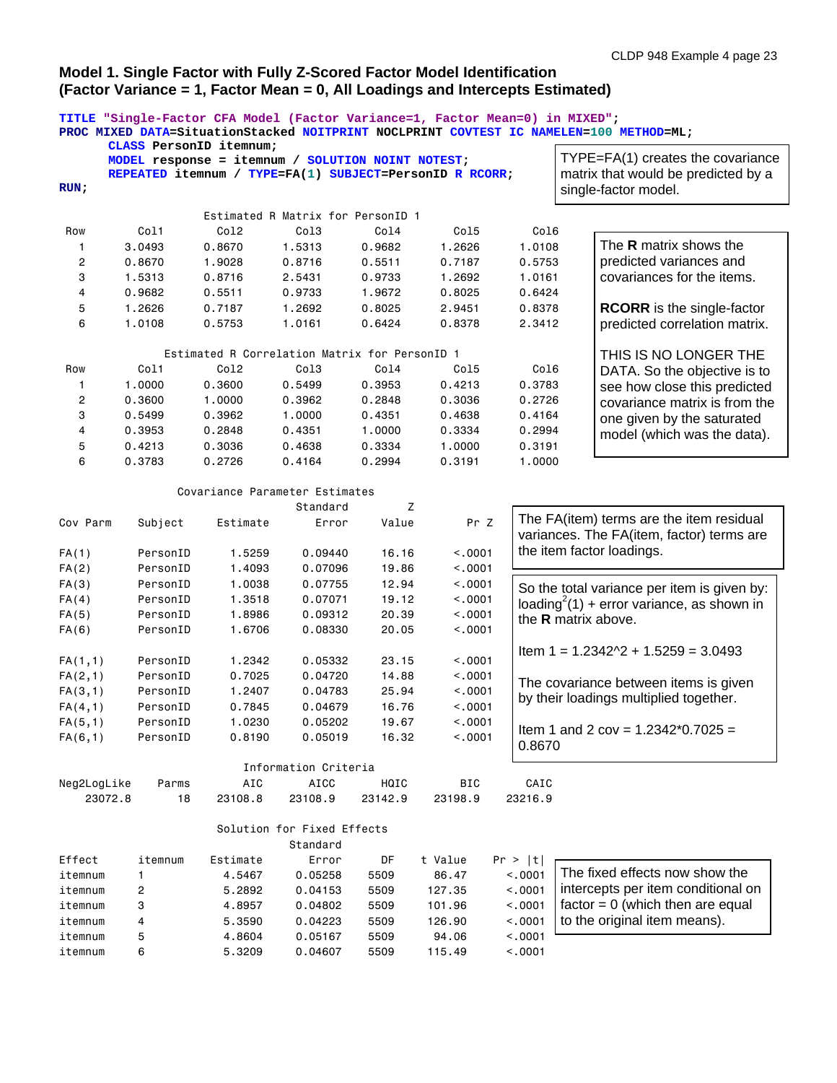### **Model 1. Single Factor with Fully Z-Scored Factor Model Identification (Factor Variance = 1, Factor Mean = 0, All Loadings and Intercepts Estimated)**

|             | CLASS PersonID itemnum;                           |                                               |                                        |         | TITLE "Single-Factor CFA Model (Factor Variance=1, Factor Mean=0) in MIXED"; |         | PROC MIXED DATA=SituationStacked NOITPRINT NOCLPRINT COVTEST IC NAMELEN=100 METHOD=ML; |
|-------------|---------------------------------------------------|-----------------------------------------------|----------------------------------------|---------|------------------------------------------------------------------------------|---------|----------------------------------------------------------------------------------------|
|             |                                                   |                                               |                                        |         |                                                                              |         | TYPE=FA(1) creates the covariance                                                      |
|             | MODEL response = itemnum / SOLUTION NOINT NOTEST; |                                               |                                        |         |                                                                              |         |                                                                                        |
| RUN:        |                                                   |                                               |                                        |         | REPEATED itemnum / TYPE=FA(1) SUBJECT=PersonID R RCORR;                      |         | matrix that would be predicted by a<br>single-factor model.                            |
|             |                                                   |                                               |                                        |         |                                                                              |         |                                                                                        |
|             |                                                   |                                               | Estimated R Matrix for PersonID 1      |         |                                                                              |         |                                                                                        |
| Row         | Col1                                              | Co12                                          | Col <sub>3</sub>                       | Col4    | Co15                                                                         | Col6    |                                                                                        |
| 1           | 3.0493                                            | 0.8670                                        | 1.5313                                 | 0.9682  | 1.2626                                                                       | 1.0108  | The R matrix shows the                                                                 |
| 2           | 0.8670                                            | 1.9028                                        | 0.8716                                 | 0.5511  | 0.7187                                                                       | 0.5753  | predicted variances and                                                                |
| 3           | 1.5313                                            | 0.8716                                        | 2.5431                                 | 0.9733  | 1.2692                                                                       | 1.0161  | covariances for the items.                                                             |
| 4           | 0.9682                                            | 0.5511                                        | 0.9733                                 | 1.9672  | 0.8025                                                                       | 0.6424  |                                                                                        |
| 5           | 1.2626                                            | 0.7187                                        | 1.2692                                 | 0.8025  | 2.9451                                                                       | 0.8378  | <b>RCORR</b> is the single-factor                                                      |
| 6           | 1.0108                                            | 0.5753                                        | 1.0161                                 | 0.6424  | 0.8378                                                                       | 2.3412  | predicted correlation matrix.                                                          |
|             |                                                   | Estimated R Correlation Matrix for PersonID 1 |                                        |         |                                                                              |         | THIS IS NO LONGER THE                                                                  |
| Row         | Col1                                              | Co12                                          | Col <sub>3</sub>                       | Col4    | Col5                                                                         | Co16    | DATA. So the objective is to                                                           |
| 1           | 1.0000                                            | 0.3600                                        | 0.5499                                 | 0.3953  | 0.4213                                                                       | 0.3783  | see how close this predicted                                                           |
| 2           | 0.3600                                            | 1.0000                                        | 0.3962                                 | 0.2848  | 0.3036                                                                       | 0.2726  | covariance matrix is from the                                                          |
| 3           | 0.5499                                            | 0.3962                                        | 1.0000                                 | 0.4351  | 0.4638                                                                       | 0.4164  | one given by the saturated                                                             |
| 4           | 0.3953                                            | 0.2848                                        | 0.4351                                 | 1.0000  | 0.3334                                                                       | 0.2994  |                                                                                        |
| 5           | 0.4213                                            | 0.3036                                        | 0.4638                                 | 0.3334  | 1.0000                                                                       | 0.3191  | model (which was the data).                                                            |
| 6           | 0.3783                                            | 0.2726                                        | 0.4164                                 | 0.2994  | 0.3191                                                                       | 1.0000  |                                                                                        |
|             |                                                   | Covariance Parameter Estimates                |                                        |         |                                                                              |         |                                                                                        |
|             |                                                   |                                               |                                        | Z       |                                                                              |         |                                                                                        |
| Cov Parm    | Subject                                           | Estimate                                      | Standard<br>Error                      | Value   | Pr Z                                                                         |         | The FA(item) terms are the item residual<br>variances. The FA(item, factor) terms are  |
|             |                                                   |                                               |                                        |         |                                                                              |         | the item factor loadings.                                                              |
| FA(1)       | PersonID                                          | 1.5259                                        | 0.09440                                | 16.16   | < .0001                                                                      |         |                                                                                        |
| FA(2)       | PersonID                                          | 1.4093                                        | 0.07096                                | 19.86   | < .0001                                                                      |         |                                                                                        |
| FA(3)       | PersonID                                          | 1.0038                                        | 0.07755                                | 12.94   | < .0001                                                                      |         | So the total variance per item is given by:                                            |
| FA(4)       | PersonID                                          | 1.3518                                        | 0.07071                                | 19.12   | < .0001                                                                      |         | loading <sup>2</sup> (1) + error variance, as shown in                                 |
| FA(5)       | PersonID                                          | 1.8986                                        | 0.09312                                | 20.39   | < .0001                                                                      |         | the <b>R</b> matrix above.                                                             |
| FA(6)       | PersonID                                          | 1.6706                                        | 0.08330                                | 20.05   | < .0001                                                                      |         |                                                                                        |
| FA(1,1)     | PersonID                                          | 1.2342                                        | 0.05332                                | 23.15   | < .0001                                                                      |         | Item $1 = 1.2342 \times 2 + 1.5259 = 3.0493$                                           |
| FA(2,1)     | PersonID                                          | 0.7025                                        | 0.04720                                | 14.88   | < 0.0001                                                                     |         | The covariance between items is given                                                  |
| FA(3,1)     | PersonID                                          | 1.2407                                        | 0.04783                                | 25.94   | < .0001                                                                      |         |                                                                                        |
| FA(4,1)     | PersonID                                          | 0.7845                                        | 0.04679                                | 16.76   | < .0001                                                                      |         | by their loadings multiplied together.                                                 |
| FA(5,1)     | PersonID                                          | 1.0230                                        | 0.05202                                | 19.67   | < .0001                                                                      |         |                                                                                        |
| FA(6,1)     | PersonID                                          | 0.8190                                        | 0.05019                                | 16.32   | < .0001                                                                      | 0.8670  | Item 1 and 2 cov = $1.2342*0.7025$ =                                                   |
|             |                                                   |                                               | Information Criteria                   |         |                                                                              |         |                                                                                        |
| Neg2LogLike | Parms                                             | AIC                                           | AICC                                   | HQIC    | BIC                                                                          | CAIC    |                                                                                        |
| 23072.8     | 18                                                | 23108.8                                       | 23108.9                                | 23142.9 | 23198.9                                                                      | 23216.9 |                                                                                        |
|             |                                                   |                                               |                                        |         |                                                                              |         |                                                                                        |
|             |                                                   |                                               | Solution for Fixed Effects<br>Standard |         |                                                                              |         |                                                                                        |
| Effect      | itemnum                                           | Estimate                                      | Error                                  | DF      | t Value                                                                      | Pr >  t |                                                                                        |
| itemnum     | 1                                                 | 4.5467                                        | 0.05258                                | 5509    | 86.47                                                                        | < .0001 | The fixed effects now show the                                                         |
| itemnum     | $\overline{\mathbf{c}}$                           | 5.2892                                        | 0.04153                                | 5509    | 127.35                                                                       | < .0001 | intercepts per item conditional on                                                     |
| itemnum     | 3                                                 | 4.8957                                        | 0.04802                                | 5509    | 101.96                                                                       | < .0001 | $factor = 0$ (which then are equal                                                     |
| itemnum     | 4                                                 | 5.3590                                        | 0.04223                                | 5509    | 126.90                                                                       | < .0001 | to the original item means).                                                           |
| itemnum     | 5                                                 | 4.8604                                        | 0.05167                                | 5509    | 94.06                                                                        | < .0001 |                                                                                        |
| itemnum     | 6                                                 | 5.3209                                        | 0.04607                                | 5509    | 115.49                                                                       | < .0001 |                                                                                        |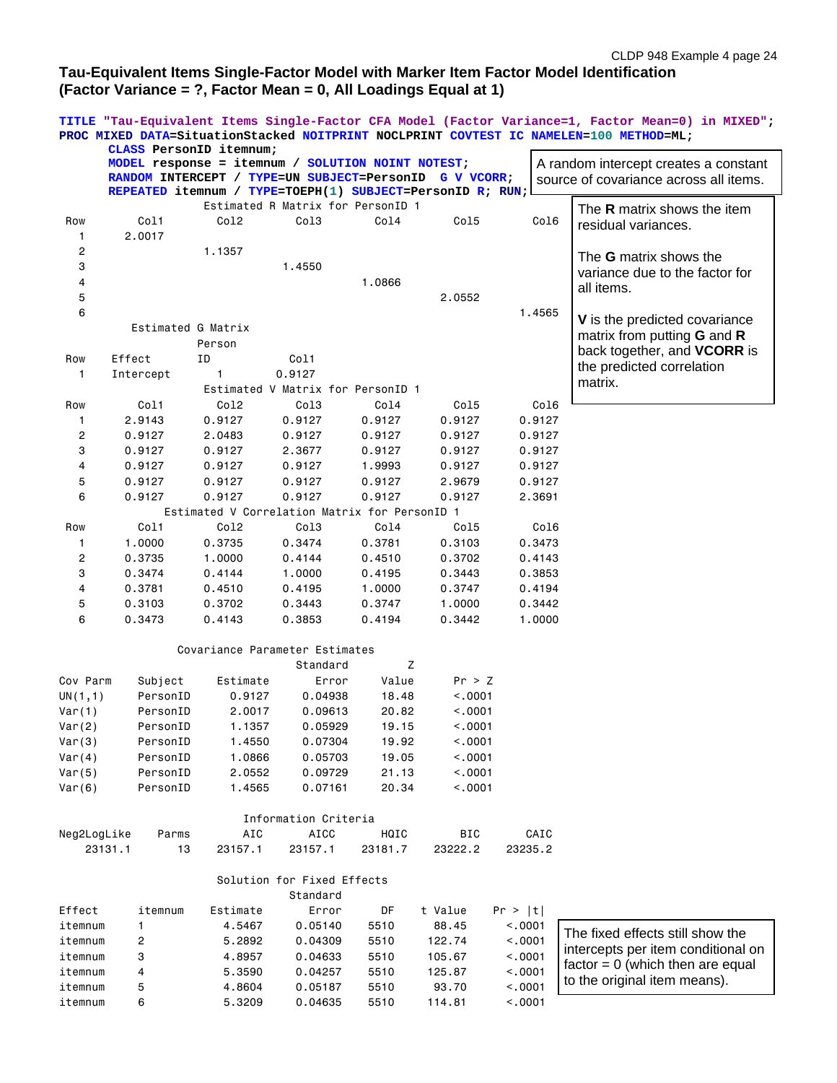# **Tau-Equivalent Items Single-Factor Model with Marker Item Factor Model Identification (Factor Variance = ?, Factor Mean = 0, All Loadings Equal at 1)**

**TITLE "Tau-Equivalent Items Single-Factor CFA Model (Factor Variance=1, Factor Mean=0) in MIXED"; PROC MIXED DATA=SituationStacked NOITPRINT NOCLPRINT COVTEST IC NAMELEN=100 METHOD=ML; CLASS PersonID itemnum;**

|              | MODEL response = itemnum / SOLUTION NOINT NOTEST;<br>RANDOM INTERCEPT / TYPE=UN SUBJECT=PersonID<br>REPEATED itemnum / TYPE=TOEPH(1) SUBJECT=PersonID R; RUN; |                                               |                                   |         | G V VCORR; |         | A random intercept creates a constant<br>source of covariance across all items. |
|--------------|---------------------------------------------------------------------------------------------------------------------------------------------------------------|-----------------------------------------------|-----------------------------------|---------|------------|---------|---------------------------------------------------------------------------------|
|              |                                                                                                                                                               |                                               | Estimated R Matrix for PersonID 1 |         |            |         |                                                                                 |
| Row          | Col1                                                                                                                                                          | Co12                                          | Col3                              | Col4    | Co15       | Col6    | The <b>R</b> matrix shows the item                                              |
| 1            | 2.0017                                                                                                                                                        |                                               |                                   |         |            |         | residual variances.                                                             |
| 2            |                                                                                                                                                               | 1.1357                                        |                                   |         |            |         |                                                                                 |
| 3            |                                                                                                                                                               |                                               |                                   |         |            |         | The G matrix shows the                                                          |
|              |                                                                                                                                                               |                                               | 1.4550                            |         |            |         | variance due to the factor for                                                  |
| 4            |                                                                                                                                                               |                                               |                                   | 1.0866  |            |         | all items.                                                                      |
| 5            |                                                                                                                                                               |                                               |                                   |         | 2.0552     |         |                                                                                 |
| 6            |                                                                                                                                                               |                                               |                                   |         |            | 1.4565  | V is the predicted covariance                                                   |
|              | Estimated G Matrix                                                                                                                                            |                                               |                                   |         |            |         | matrix from putting <b>G</b> and <b>R</b>                                       |
|              |                                                                                                                                                               | Person                                        |                                   |         |            |         | back together, and VCORR is                                                     |
| Row          | Effect                                                                                                                                                        | ΙD                                            | Col1                              |         |            |         | the predicted correlation                                                       |
| $\mathbf{1}$ | Intercept                                                                                                                                                     | $\mathbf{1}$                                  | 0.9127                            |         |            |         | matrix.                                                                         |
|              |                                                                                                                                                               |                                               | Estimated V Matrix for PersonID 1 |         |            |         |                                                                                 |
| Row          | Col1                                                                                                                                                          | Col2                                          | Col3                              | Col4    | Col5       | Col6    |                                                                                 |
| 1            | 2.9143                                                                                                                                                        | 0.9127                                        | 0.9127                            | 0.9127  | 0.9127     | 0.9127  |                                                                                 |
| 2            | 0.9127                                                                                                                                                        | 2.0483                                        | 0.9127                            | 0.9127  | 0.9127     | 0.9127  |                                                                                 |
| 3            | 0.9127                                                                                                                                                        | 0.9127                                        | 2.3677                            | 0.9127  | 0.9127     | 0.9127  |                                                                                 |
| 4            | 0.9127                                                                                                                                                        | 0.9127                                        | 0.9127                            | 1.9993  | 0.9127     | 0.9127  |                                                                                 |
| 5            | 0.9127                                                                                                                                                        | 0.9127                                        | 0.9127                            | 0.9127  | 2.9679     | 0.9127  |                                                                                 |
| 6            | 0.9127                                                                                                                                                        | 0.9127                                        | 0.9127                            | 0.9127  | 0.9127     | 2.3691  |                                                                                 |
|              |                                                                                                                                                               | Estimated V Correlation Matrix for PersonID 1 |                                   |         |            |         |                                                                                 |
| Row          | Col1                                                                                                                                                          | Col2                                          | Col3                              | Col4    | Col5       | Col6    |                                                                                 |
| 1            | 1.0000                                                                                                                                                        | 0.3735                                        | 0.3474                            | 0.3781  | 0.3103     | 0.3473  |                                                                                 |
| 2            | 0.3735                                                                                                                                                        | 1.0000                                        | 0.4144                            | 0.4510  | 0.3702     | 0.4143  |                                                                                 |
| 3            | 0.3474                                                                                                                                                        | 0.4144                                        | 1.0000                            | 0.4195  | 0.3443     | 0.3853  |                                                                                 |
| 4            | 0.3781                                                                                                                                                        | 0.4510                                        | 0.4195                            | 1.0000  | 0.3747     | 0.4194  |                                                                                 |
| 5            | 0.3103                                                                                                                                                        | 0.3702                                        | 0.3443                            | 0.3747  | 1.0000     | 0.3442  |                                                                                 |
| 6            | 0.3473                                                                                                                                                        | 0.4143                                        | 0.3853                            | 0.4194  | 0.3442     | 1.0000  |                                                                                 |
|              |                                                                                                                                                               |                                               |                                   |         |            |         |                                                                                 |
|              |                                                                                                                                                               | Covariance Parameter Estimates                |                                   |         |            |         |                                                                                 |
|              |                                                                                                                                                               |                                               | Standard                          | Z       |            |         |                                                                                 |
| Cov Parm     | Subject                                                                                                                                                       | Estimate                                      | Error                             | Value   | Pr > Z     |         |                                                                                 |
| UN(1,1)      | PersonID                                                                                                                                                      | 0.9127                                        | 0.04938                           | 18.48   | < .0001    |         |                                                                                 |
| Var(1)       | PersonID                                                                                                                                                      | 2.0017                                        | 0.09613                           | 20.82   | < .0001    |         |                                                                                 |
| Var(2)       | PersonID                                                                                                                                                      | 1.1357                                        | 0.05929                           | 19.15   | < .0001    |         |                                                                                 |
| Var(3)       | PersonID                                                                                                                                                      | 1.4550                                        | 0.07304                           | 19.92   | < .0001    |         |                                                                                 |
| Var(4)       | PersonID                                                                                                                                                      | 1.0866                                        | 0.05703                           | 19.05   | < .0001    |         |                                                                                 |
| Var(5)       | PersonID                                                                                                                                                      | 2.0552                                        | 0.09729                           | 21.13   | < .0001    |         |                                                                                 |
| Var(6)       | PersonID                                                                                                                                                      | 1.4565                                        | 0.07161                           | 20.34   | < .0001    |         |                                                                                 |
|              |                                                                                                                                                               |                                               |                                   |         |            |         |                                                                                 |
|              |                                                                                                                                                               |                                               | Information Criteria              |         |            |         |                                                                                 |
| Neg2LogLike  | Parms                                                                                                                                                         | AIC                                           | <b>AICC</b>                       | HQIC    | <b>BIC</b> | CAIC    |                                                                                 |
|              | 23131.1<br>13                                                                                                                                                 | 23157.1                                       | 23157.1                           | 23181.7 | 23222.2    | 23235.2 |                                                                                 |
|              |                                                                                                                                                               |                                               |                                   |         |            |         |                                                                                 |
|              |                                                                                                                                                               |                                               | Solution for Fixed Effects        |         |            |         |                                                                                 |
|              |                                                                                                                                                               |                                               | Standard                          |         |            |         |                                                                                 |
| Effect       | itemnum                                                                                                                                                       | Estimate                                      | Error                             | DF      | t Value    | Pr >  t |                                                                                 |
| itemnum      | 1                                                                                                                                                             | 4.5467                                        | 0.05140                           | 5510    | 88.45      | < .0001 |                                                                                 |
| itemnum      | 2                                                                                                                                                             | 5.2892                                        | 0.04309                           | 5510    | 122.74     | < .0001 | The fixed effects still show the                                                |
| itemnum      | 3                                                                                                                                                             | 4.8957                                        | 0.04633                           | 5510    | 105.67     | < .0001 | intercepts per item conditional on                                              |
| itemnum      | 4                                                                                                                                                             | 5.3590                                        | 0.04257                           | 5510    | 125.87     | < .0001 | $factor = 0$ (which then are equal                                              |
| itemnum      | 5                                                                                                                                                             | 4.8604                                        | 0.05187                           | 5510    | 93.70      | < .0001 | to the original item means).                                                    |
| itemnum      | 6                                                                                                                                                             | 5.3209                                        | 0.04635                           | 5510    | 114.81     | < .0001 |                                                                                 |